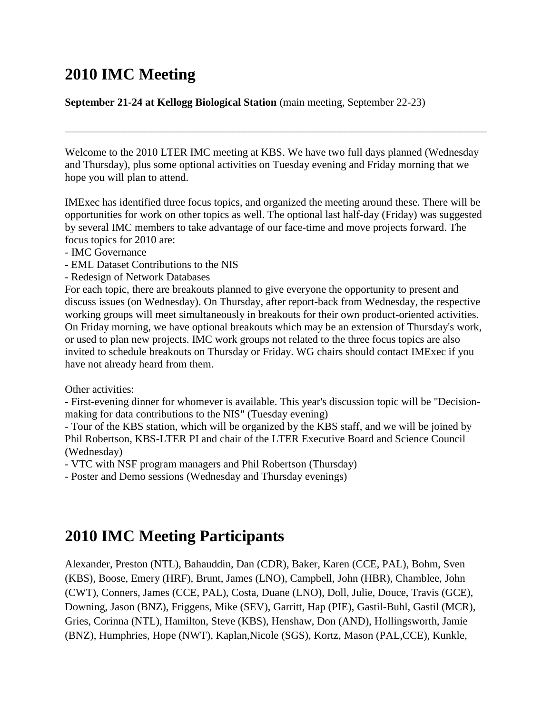# **2010 IMC Meeting**

### **September 21-24 at Kellogg Biological Station** (main meeting, September 22-23)

Welcome to the 2010 LTER IMC meeting at KBS. We have two full days planned (Wednesday and Thursday), plus some optional activities on Tuesday evening and Friday morning that we hope you will plan to attend.

\_\_\_\_\_\_\_\_\_\_\_\_\_\_\_\_\_\_\_\_\_\_\_\_\_\_\_\_\_\_\_\_\_\_\_\_\_\_\_\_\_\_\_\_\_\_\_\_\_\_\_\_\_\_\_\_\_\_\_\_\_\_\_\_\_\_\_\_\_\_\_\_\_\_\_\_\_\_

IMExec has identified three focus topics, and organized the meeting around these. There will be opportunities for work on other topics as well. The optional last half-day (Friday) was suggested by several IMC members to take advantage of our face-time and move projects forward. The focus topics for 2010 are:

- IMC Governance
- EML Dataset Contributions to the NIS
- Redesign of Network Databases

For each topic, there are breakouts planned to give everyone the opportunity to present and discuss issues (on Wednesday). On Thursday, after report-back from Wednesday, the respective working groups will meet simultaneously in breakouts for their own product-oriented activities. On Friday morning, we have optional breakouts which may be an extension of Thursday's work, or used to plan new projects. IMC work groups not related to the three focus topics are also invited to schedule breakouts on Thursday or Friday. WG chairs should contact IMExec if you have not already heard from them.

Other activities:

- First-evening dinner for whomever is available. This year's discussion topic will be "Decisionmaking for data contributions to the NIS" (Tuesday evening)

- Tour of the KBS station, which will be organized by the KBS staff, and we will be joined by Phil Robertson, KBS-LTER PI and chair of the LTER Executive Board and Science Council (Wednesday)

- VTC with NSF program managers and Phil Robertson (Thursday)

- Poster and Demo sessions (Wednesday and Thursday evenings)

# **2010 IMC Meeting Participants**

Alexander, Preston (NTL), Bahauddin, Dan (CDR), Baker, Karen (CCE, PAL), Bohm, Sven (KBS), Boose, Emery (HRF), Brunt, James (LNO), Campbell, John (HBR), Chamblee, John (CWT), Conners, James (CCE, PAL), Costa, Duane (LNO), Doll, Julie, Douce, Travis (GCE), Downing, Jason (BNZ), Friggens, Mike (SEV), Garritt, Hap (PIE), Gastil-Buhl, Gastil (MCR), Gries, Corinna (NTL), Hamilton, Steve (KBS), Henshaw, Don (AND), Hollingsworth, Jamie (BNZ), Humphries, Hope (NWT), Kaplan,Nicole (SGS), Kortz, Mason (PAL,CCE), Kunkle,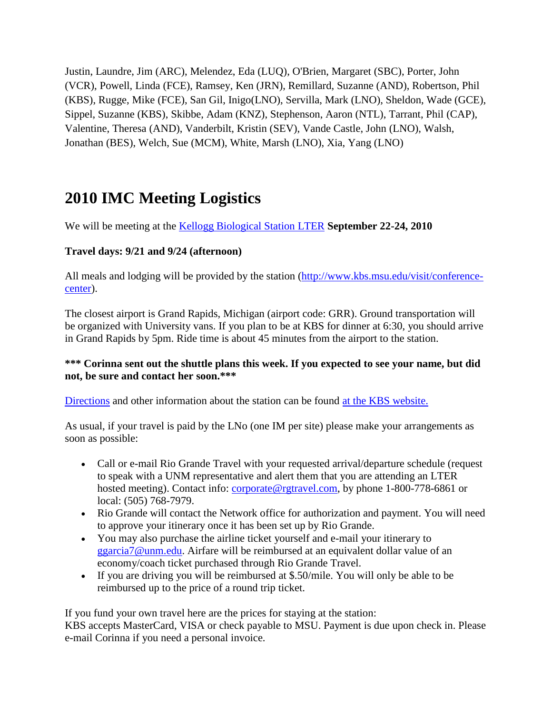Justin, Laundre, Jim (ARC), Melendez, Eda (LUQ), O'Brien, Margaret (SBC), Porter, John (VCR), Powell, Linda (FCE), Ramsey, Ken (JRN), Remillard, Suzanne (AND), Robertson, Phil (KBS), Rugge, Mike (FCE), San Gil, Inigo(LNO), Servilla, Mark (LNO), Sheldon, Wade (GCE), Sippel, Suzanne (KBS), Skibbe, Adam (KNZ), Stephenson, Aaron (NTL), Tarrant, Phil (CAP), Valentine, Theresa (AND), Vanderbilt, Kristin (SEV), Vande Castle, John (LNO), Walsh, Jonathan (BES), Welch, Sue (MCM), White, Marsh (LNO), Xia, Yang (LNO)

# **2010 IMC Meeting Logistics**

We will be meeting at the [Kellogg Biological Station LTER](http://lter.kbs.msu.edu/) **September 22-24, 2010**

### **Travel days: 9/21 and 9/24 (afternoon)**

All meals and lodging will be provided by the station [\(http://www.kbs.msu.edu/visit/conference](http://www.kbs.msu.edu/visit/conference-center)[center\)](http://www.kbs.msu.edu/visit/conference-center).

The closest airport is Grand Rapids, Michigan (airport code: GRR). Ground transportation will be organized with University vans. If you plan to be at KBS for dinner at 6:30, you should arrive in Grand Rapids by 5pm. Ride time is about 45 minutes from the airport to the station.

### **\*\*\* Corinna sent out the shuttle plans this week. If you expected to see your name, but did not, be sure and contact her soon.\*\*\***

[Directions](http://www.kbs.msu.edu/directions) and other information about the station can be found [at the KBS website.](http://www.kbs.msu.edu/)

As usual, if your travel is paid by the LNo (one IM per site) please make your arrangements as soon as possible:

- Call or e-mail Rio Grande Travel with your requested arrival/departure schedule (request to speak with a UNM representative and alert them that you are attending an LTER hosted meeting). Contact info: [corporate@rgtravel.com,](mailto:corporate@rgtravel.com) by phone 1-800-778-6861 or local: (505) 768-7979.
- Rio Grande will contact the Network office for authorization and payment. You will need to approve your itinerary once it has been set up by Rio Grande.
- You may also purchase the airline ticket yourself and e-mail your itinerary to [ggarcia7@unm.edu.](mailto:ggarcia7@unm.edu) Airfare will be reimbursed at an equivalent dollar value of an economy/coach ticket purchased through Rio Grande Travel.
- If you are driving you will be reimbursed at \$.50/mile. You will only be able to be reimbursed up to the price of a round trip ticket.

If you fund your own travel here are the prices for staying at the station:

KBS accepts MasterCard, VISA or check payable to MSU. Payment is due upon check in. Please e-mail Corinna if you need a personal invoice.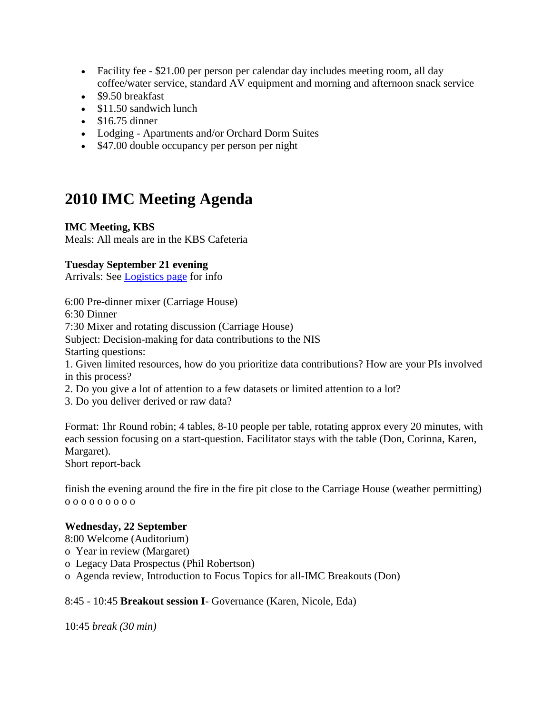- Facility fee \$21.00 per person per calendar day includes meeting room, all day coffee/water service, standard AV equipment and morning and afternoon snack service
- \$9.50 breakfast
- \$11.50 sandwich lunch
- $\bullet$  \$16.75 dinner
- Lodging Apartments and/or Orchard Dorm Suites
- \$47.00 double occupancy per person per night

# **2010 IMC Meeting Agenda**

### **IMC Meeting, KBS**

Meals: All meals are in the KBS Cafeteria

### **Tuesday September 21 evening**

Arrivals: See [Logistics page](http://intranet.lternet.edu/im/news/meetings/2010/logistics) for info

6:00 Pre-dinner mixer (Carriage House)

6:30 Dinner

7:30 Mixer and rotating discussion (Carriage House)

Subject: Decision-making for data contributions to the NIS

Starting questions:

1. Given limited resources, how do you prioritize data contributions? How are your PIs involved in this process?

2. Do you give a lot of attention to a few datasets or limited attention to a lot?

3. Do you deliver derived or raw data?

Format: 1hr Round robin; 4 tables, 8-10 people per table, rotating approx every 20 minutes, with each session focusing on a start-question. Facilitator stays with the table (Don, Corinna, Karen, Margaret).

Short report-back

finish the evening around the fire in the fire pit close to the Carriage House (weather permitting) o o o o o o o o o

### **Wednesday, 22 September**

8:00 Welcome (Auditorium)

- o Year in review (Margaret)
- o Legacy Data Prospectus (Phil Robertson)
- o Agenda review, Introduction to Focus Topics for all-IMC Breakouts (Don)

### 8:45 - 10:45 **Breakout session I**- Governance (Karen, Nicole, Eda)

10:45 *break (30 min)*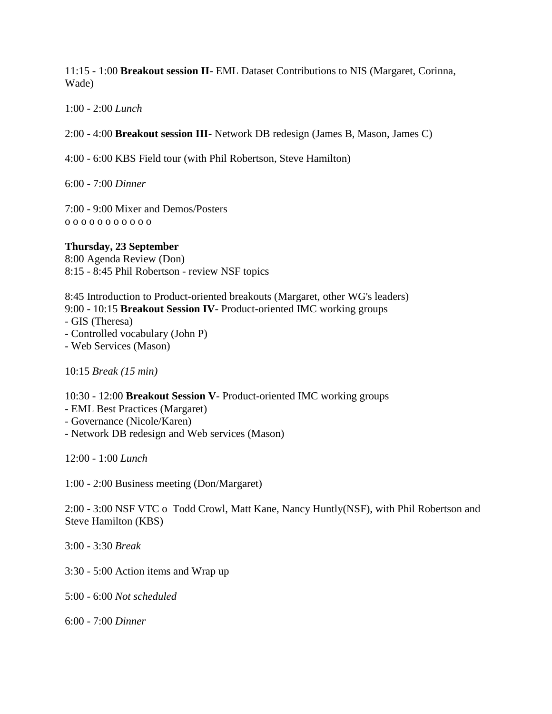11:15 - 1:00 **Breakout session II**- EML Dataset Contributions to NIS (Margaret, Corinna, Wade)

1:00 - 2:00 *Lunch* 

2:00 - 4:00 **Breakout session III**- Network DB redesign (James B, Mason, James C)

4:00 - 6:00 KBS Field tour (with Phil Robertson, Steve Hamilton)

6:00 - 7:00 *Dinner* 

7:00 - 9:00 Mixer and Demos/Posters o o o o o o o o o o o

**Thursday, 23 September** 8:00 Agenda Review (Don) 8:15 - 8:45 Phil Robertson - review NSF topics

8:45 Introduction to Product-oriented breakouts (Margaret, other WG's leaders) 9:00 - 10:15 **Breakout Session IV**- Product-oriented IMC working groups - GIS (Theresa)

- Controlled vocabulary (John P)

- Web Services (Mason)

10:15 *Break (15 min)*

10:30 - 12:00 **Breakout Session V**- Product-oriented IMC working groups

- EML Best Practices (Margaret)
- Governance (Nicole/Karen)
- Network DB redesign and Web services (Mason)

12:00 - 1:00 *Lunch*

1:00 - 2:00 Business meeting (Don/Margaret)

2:00 - 3:00 NSF VTC o Todd Crowl, Matt Kane, Nancy Huntly(NSF), with Phil Robertson and Steve Hamilton (KBS)

3:00 - 3:30 *Break*

3:30 - 5:00 Action items and Wrap up

5:00 - 6:00 *Not scheduled*

6:00 - 7:00 *Dinner*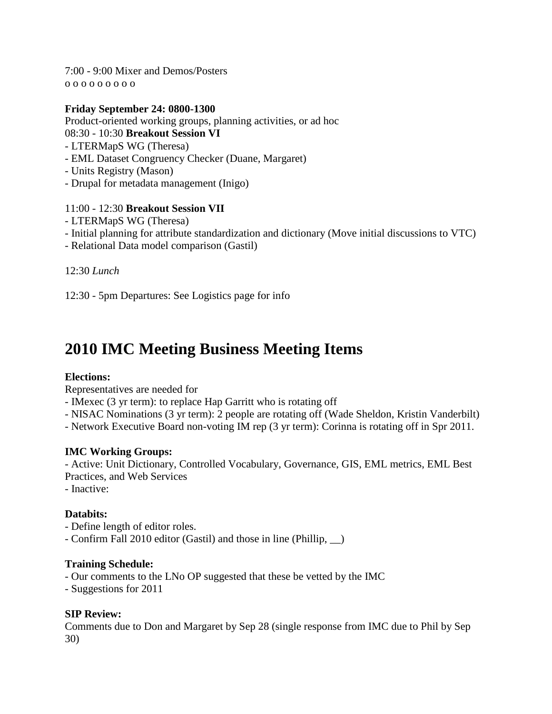7:00 - 9:00 Mixer and Demos/Posters o o o o o o o o o

### **Friday September 24: 0800-1300**

Product-oriented working groups, planning activities, or ad hoc

08:30 - 10:30 **Breakout Session VI**

- LTERMapS WG (Theresa)
- EML Dataset Congruency Checker (Duane, Margaret)
- Units Registry (Mason)
- Drupal for metadata management (Inigo)

### 11:00 - 12:30 **Breakout Session VII**

- LTERMapS WG (Theresa)
- Initial planning for attribute standardization and dictionary (Move initial discussions to VTC)
- Relational Data model comparison (Gastil)

12:30 *Lunch*

12:30 - 5pm Departures: See Logistics page for info

# **2010 IMC Meeting Business Meeting Items**

### **Elections:**

Representatives are needed for

- IMexec (3 yr term): to replace Hap Garritt who is rotating off
- NISAC Nominations (3 yr term): 2 people are rotating off (Wade Sheldon, Kristin Vanderbilt)

- Network Executive Board non-voting IM rep (3 yr term): Corinna is rotating off in Spr 2011.

### **IMC Working Groups:**

- Active: Unit Dictionary, Controlled Vocabulary, Governance, GIS, EML metrics, EML Best Practices, and Web Services

- Inactive:

### **Databits:**

- Define length of editor roles.

- Confirm Fall 2010 editor (Gastil) and those in line (Phillip, \_\_)

### **Training Schedule:**

- Our comments to the LNo OP suggested that these be vetted by the IMC
- Suggestions for 2011

### **SIP Review:**

Comments due to Don and Margaret by Sep 28 (single response from IMC due to Phil by Sep 30)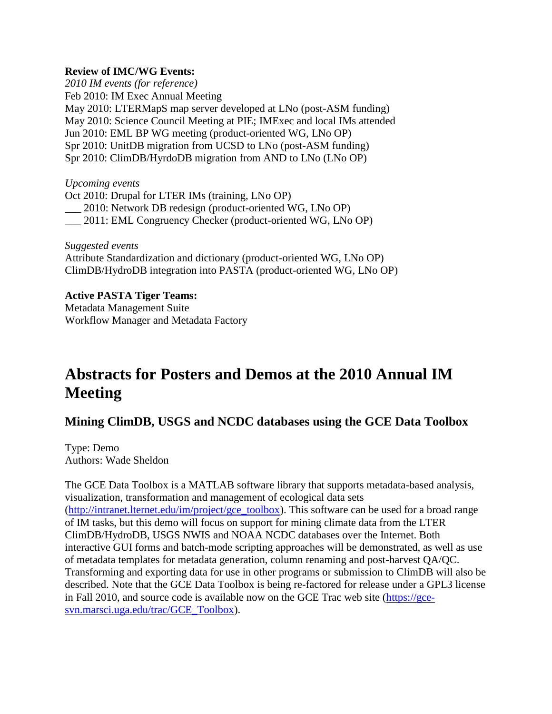### **Review of IMC/WG Events:**

*2010 IM events (for reference)* Feb 2010: IM Exec Annual Meeting May 2010: LTERMapS map server developed at LNo (post-ASM funding) May 2010: Science Council Meeting at PIE; IMExec and local IMs attended Jun 2010: EML BP WG meeting (product-oriented WG, LNo OP) Spr 2010: UnitDB migration from UCSD to LNo (post-ASM funding) Spr 2010: ClimDB/HyrdoDB migration from AND to LNo (LNo OP)

*Upcoming events* Oct 2010: Drupal for LTER IMs (training, LNo OP) \_\_\_ 2010: Network DB redesign (product-oriented WG, LNo OP) \_\_\_ 2011: EML Congruency Checker (product-oriented WG, LNo OP)

*Suggested events* Attribute Standardization and dictionary (product-oriented WG, LNo OP) ClimDB/HydroDB integration into PASTA (product-oriented WG, LNo OP)

**Active PASTA Tiger Teams:** Metadata Management Suite Workflow Manager and Metadata Factory

# **Abstracts for Posters and Demos at the 2010 Annual IM Meeting**

# **Mining ClimDB, USGS and NCDC databases using the GCE Data Toolbox**

Type: Demo Authors: Wade Sheldon

The GCE Data Toolbox is a MATLAB software library that supports metadata-based analysis, visualization, transformation and management of ecological data sets [\(http://intranet.lternet.edu/im/project/gce\\_toolbox\)](http://intranet.lternet.edu/im/project/gce_toolbox). This software can be used for a broad range of IM tasks, but this demo will focus on support for mining climate data from the LTER ClimDB/HydroDB, USGS NWIS and NOAA NCDC databases over the Internet. Both interactive GUI forms and batch-mode scripting approaches will be demonstrated, as well as use of metadata templates for metadata generation, column renaming and post-harvest QA/QC. Transforming and exporting data for use in other programs or submission to ClimDB will also be described. Note that the GCE Data Toolbox is being re-factored for release under a GPL3 license in Fall 2010, and source code is available now on the GCE Trac web site [\(https://gce](https://gce-svn.marsci.uga.edu/trac/GCE_Toolbox)[svn.marsci.uga.edu/trac/GCE\\_Toolbox\)](https://gce-svn.marsci.uga.edu/trac/GCE_Toolbox).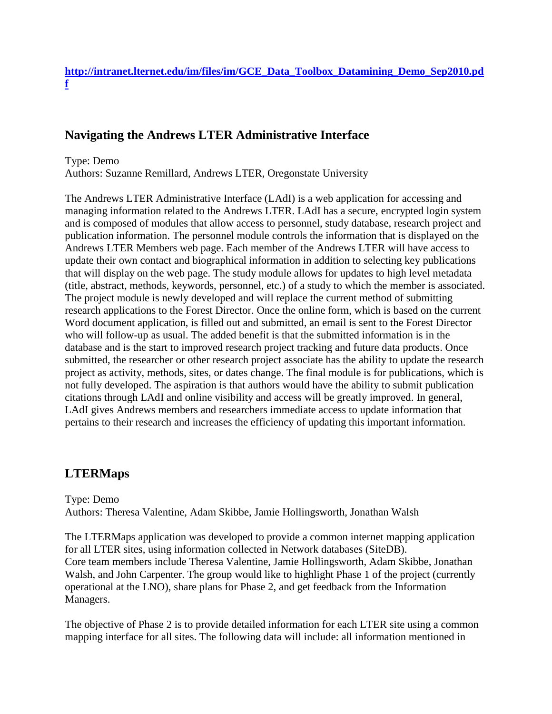### **[http://intranet.lternet.edu/im/files/im/GCE\\_Data\\_Toolbox\\_Datamining\\_Demo\\_Sep2010.pd](http://intranet.lternet.edu/im/files/im/GCE_Data_Toolbox_Datamining_Demo_Sep2010.pdf) [f](http://intranet.lternet.edu/im/files/im/GCE_Data_Toolbox_Datamining_Demo_Sep2010.pdf)**

# **Navigating the Andrews LTER Administrative Interface**

Type: Demo Authors: Suzanne Remillard, Andrews LTER, Oregonstate University

The Andrews LTER Administrative Interface (LAdI) is a web application for accessing and managing information related to the Andrews LTER. LAdI has a secure, encrypted login system and is composed of modules that allow access to personnel, study database, research project and publication information. The personnel module controls the information that is displayed on the Andrews LTER Members web page. Each member of the Andrews LTER will have access to update their own contact and biographical information in addition to selecting key publications that will display on the web page. The study module allows for updates to high level metadata (title, abstract, methods, keywords, personnel, etc.) of a study to which the member is associated. The project module is newly developed and will replace the current method of submitting research applications to the Forest Director. Once the online form, which is based on the current Word document application, is filled out and submitted, an email is sent to the Forest Director who will follow-up as usual. The added benefit is that the submitted information is in the database and is the start to improved research project tracking and future data products. Once submitted, the researcher or other research project associate has the ability to update the research project as activity, methods, sites, or dates change. The final module is for publications, which is not fully developed. The aspiration is that authors would have the ability to submit publication citations through LAdI and online visibility and access will be greatly improved. In general, LAdI gives Andrews members and researchers immediate access to update information that pertains to their research and increases the efficiency of updating this important information.

# **LTERMaps**

Type: Demo Authors: Theresa Valentine, Adam Skibbe, Jamie Hollingsworth, Jonathan Walsh

The LTERMaps application was developed to provide a common internet mapping application for all LTER sites, using information collected in Network databases (SiteDB). Core team members include Theresa Valentine, Jamie Hollingsworth, Adam Skibbe, Jonathan Walsh, and John Carpenter. The group would like to highlight Phase 1 of the project (currently operational at the LNO), share plans for Phase 2, and get feedback from the Information Managers.

The objective of Phase 2 is to provide detailed information for each LTER site using a common mapping interface for all sites. The following data will include: all information mentioned in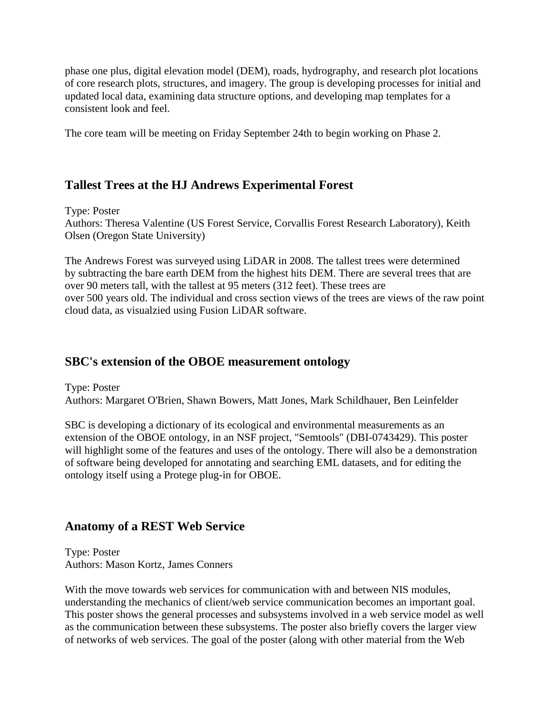phase one plus, digital elevation model (DEM), roads, hydrography, and research plot locations of core research plots, structures, and imagery. The group is developing processes for initial and updated local data, examining data structure options, and developing map templates for a consistent look and feel.

The core team will be meeting on Friday September 24th to begin working on Phase 2.

# **Tallest Trees at the HJ Andrews Experimental Forest**

Type: Poster Authors: Theresa Valentine (US Forest Service, Corvallis Forest Research Laboratory), Keith Olsen (Oregon State University)

The Andrews Forest was surveyed using LiDAR in 2008. The tallest trees were determined by subtracting the bare earth DEM from the highest hits DEM. There are several trees that are over 90 meters tall, with the tallest at 95 meters (312 feet). These trees are over 500 years old. The individual and cross section views of the trees are views of the raw point cloud data, as visualzied using Fusion LiDAR software.

### **SBC's extension of the OBOE measurement ontology**

Type: Poster Authors: Margaret O'Brien, Shawn Bowers, Matt Jones, Mark Schildhauer, Ben Leinfelder

SBC is developing a dictionary of its ecological and environmental measurements as an extension of the OBOE ontology, in an NSF project, "Semtools" (DBI-0743429). This poster will highlight some of the features and uses of the ontology. There will also be a demonstration of software being developed for annotating and searching EML datasets, and for editing the ontology itself using a Protege plug-in for OBOE.

# **Anatomy of a REST Web Service**

Type: Poster Authors: Mason Kortz, James Conners

With the move towards web services for communication with and between NIS modules, understanding the mechanics of client/web service communication becomes an important goal. This poster shows the general processes and subsystems involved in a web service model as well as the communication between these subsystems. The poster also briefly covers the larger view of networks of web services. The goal of the poster (along with other material from the Web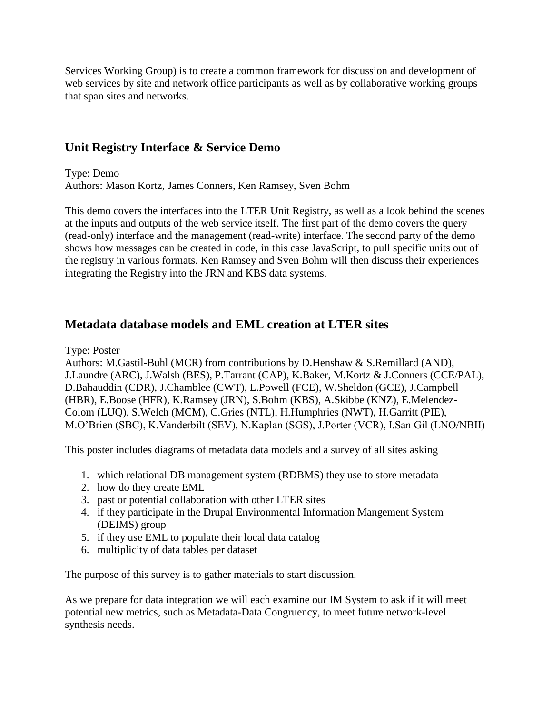Services Working Group) is to create a common framework for discussion and development of web services by site and network office participants as well as by collaborative working groups that span sites and networks.

# **Unit Registry Interface & Service Demo**

Type: Demo Authors: Mason Kortz, James Conners, Ken Ramsey, Sven Bohm

This demo covers the interfaces into the LTER Unit Registry, as well as a look behind the scenes at the inputs and outputs of the web service itself. The first part of the demo covers the query (read-only) interface and the management (read-write) interface. The second party of the demo shows how messages can be created in code, in this case JavaScript, to pull specific units out of the registry in various formats. Ken Ramsey and Sven Bohm will then discuss their experiences integrating the Registry into the JRN and KBS data systems.

# **Metadata database models and EML creation at LTER sites**

Type: Poster

Authors: M.Gastil-Buhl (MCR) from contributions by D.Henshaw & S.Remillard (AND), J.Laundre (ARC), J.Walsh (BES), P.Tarrant (CAP), K.Baker, M.Kortz & J.Conners (CCE/PAL), D.Bahauddin (CDR), J.Chamblee (CWT), L.Powell (FCE), W.Sheldon (GCE), J.Campbell (HBR), E.Boose (HFR), K.Ramsey (JRN), S.Bohm (KBS), A.Skibbe (KNZ), E.Melendez-Colom (LUQ), S.Welch (MCM), C.Gries (NTL), H.Humphries (NWT), H.Garritt (PIE), M.O"Brien (SBC), K.Vanderbilt (SEV), N.Kaplan (SGS), J.Porter (VCR), I.San Gil (LNO/NBII)

This poster includes diagrams of metadata data models and a survey of all sites asking

- 1. which relational DB management system (RDBMS) they use to store metadata
- 2. how do they create EML
- 3. past or potential collaboration with other LTER sites
- 4. if they participate in the Drupal Environmental Information Mangement System (DEIMS) group
- 5. if they use EML to populate their local data catalog
- 6. multiplicity of data tables per dataset

The purpose of this survey is to gather materials to start discussion.

As we prepare for data integration we will each examine our IM System to ask if it will meet potential new metrics, such as Metadata-Data Congruency, to meet future network-level synthesis needs.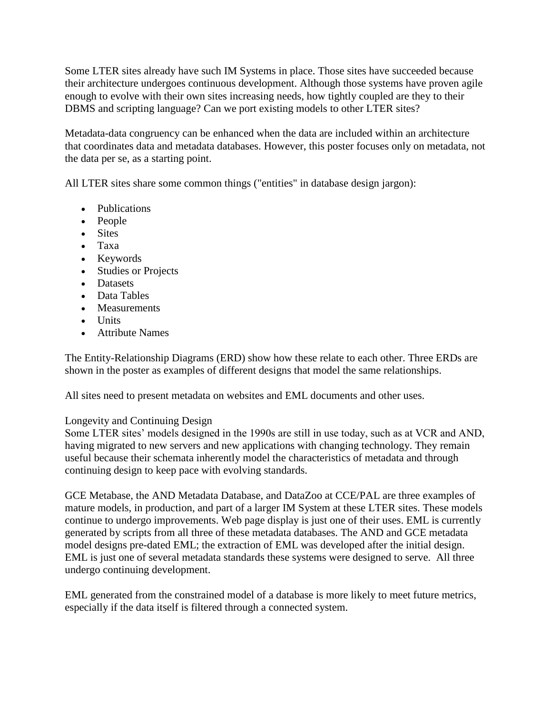Some LTER sites already have such IM Systems in place. Those sites have succeeded because their architecture undergoes continuous development. Although those systems have proven agile enough to evolve with their own sites increasing needs, how tightly coupled are they to their DBMS and scripting language? Can we port existing models to other LTER sites?

Metadata-data congruency can be enhanced when the data are included within an architecture that coordinates data and metadata databases. However, this poster focuses only on metadata, not the data per se, as a starting point.

All LTER sites share some common things ("entities" in database design jargon):

- Publications
- People
- Sites
- Taxa
- Keywords
- Studies or Projects
- Datasets
- Data Tables
- Measurements
- Units
- Attribute Names

The Entity-Relationship Diagrams (ERD) show how these relate to each other. Three ERDs are shown in the poster as examples of different designs that model the same relationships.

All sites need to present metadata on websites and EML documents and other uses.

### Longevity and Continuing Design

Some LTER sites' models designed in the 1990s are still in use today, such as at VCR and AND, having migrated to new servers and new applications with changing technology. They remain useful because their schemata inherently model the characteristics of metadata and through continuing design to keep pace with evolving standards.

GCE Metabase, the AND Metadata Database, and DataZoo at CCE/PAL are three examples of mature models, in production, and part of a larger IM System at these LTER sites. These models continue to undergo improvements. Web page display is just one of their uses. EML is currently generated by scripts from all three of these metadata databases. The AND and GCE metadata model designs pre-dated EML; the extraction of EML was developed after the initial design. EML is just one of several metadata standards these systems were designed to serve. All three undergo continuing development.

EML generated from the constrained model of a database is more likely to meet future metrics, especially if the data itself is filtered through a connected system.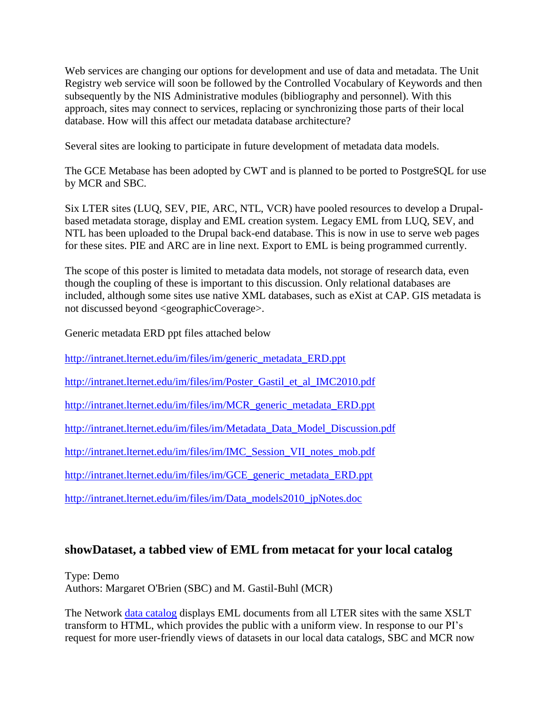Web services are changing our options for development and use of data and metadata. The Unit Registry web service will soon be followed by the Controlled Vocabulary of Keywords and then subsequently by the NIS Administrative modules (bibliography and personnel). With this approach, sites may connect to services, replacing or synchronizing those parts of their local database. How will this affect our metadata database architecture?

Several sites are looking to participate in future development of metadata data models.

The GCE Metabase has been adopted by CWT and is planned to be ported to PostgreSQL for use by MCR and SBC.

Six LTER sites (LUQ, SEV, PIE, ARC, NTL, VCR) have pooled resources to develop a Drupalbased metadata storage, display and EML creation system. Legacy EML from LUQ, SEV, and NTL has been uploaded to the Drupal back-end database. This is now in use to serve web pages for these sites. PIE and ARC are in line next. Export to EML is being programmed currently.

The scope of this poster is limited to metadata data models, not storage of research data, even though the coupling of these is important to this discussion. Only relational databases are included, although some sites use native XML databases, such as eXist at CAP. GIS metadata is not discussed beyond <geographicCoverage>.

Generic metadata ERD ppt files attached below

[http://intranet.lternet.edu/im/files/im/generic\\_metadata\\_ERD.ppt](http://intranet.lternet.edu/im/files/im/generic_metadata_ERD.ppt)

[http://intranet.lternet.edu/im/files/im/Poster\\_Gastil\\_et\\_al\\_IMC2010.pdf](http://intranet.lternet.edu/im/files/im/Poster_Gastil_et_al_IMC2010.pdf)

[http://intranet.lternet.edu/im/files/im/MCR\\_generic\\_metadata\\_ERD.ppt](http://intranet.lternet.edu/im/files/im/MCR_generic_metadata_ERD.ppt)

[http://intranet.lternet.edu/im/files/im/Metadata\\_Data\\_Model\\_Discussion.pdf](http://intranet.lternet.edu/im/files/im/Metadata_Data_Model_Discussion.pdf)

[http://intranet.lternet.edu/im/files/im/IMC\\_Session\\_VII\\_notes\\_mob.pdf](http://intranet.lternet.edu/im/files/im/IMC_Session_VII_notes_mob.pdf)

[http://intranet.lternet.edu/im/files/im/GCE\\_generic\\_metadata\\_ERD.ppt](http://intranet.lternet.edu/im/files/im/GCE_generic_metadata_ERD.ppt)

[http://intranet.lternet.edu/im/files/im/Data\\_models2010\\_jpNotes.doc](http://intranet.lternet.edu/im/files/im/Data_models2010_jpNotes.doc)

### **showDataset, a tabbed view of EML from metacat for your local catalog**

Type: Demo Authors: Margaret O'Brien (SBC) and M. Gastil-Buhl (MCR)

The Network [data catalog](http://metacat.lternet.edu/) displays EML documents from all LTER sites with the same XSLT transform to HTML, which provides the public with a uniform view. In response to our PI"s request for more user-friendly views of datasets in our local data catalogs, SBC and MCR now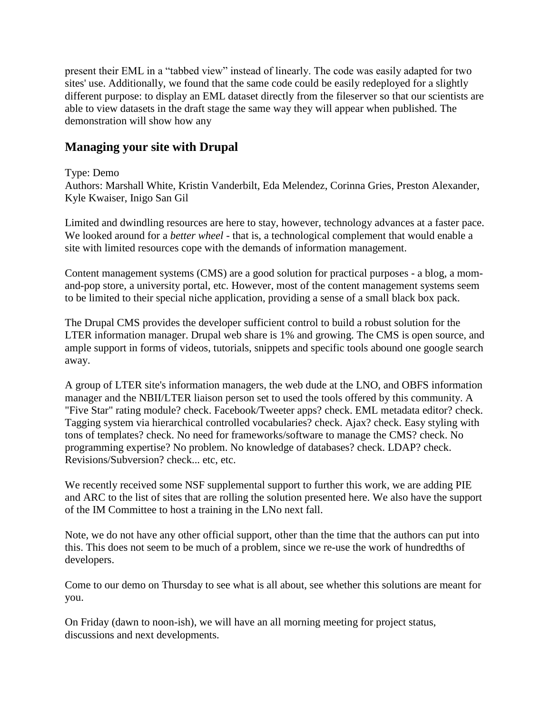present their EML in a "tabbed view" instead of linearly. The code was easily adapted for two sites' use. Additionally, we found that the same code could be easily redeployed for a slightly different purpose: to display an EML dataset directly from the fileserver so that our scientists are able to view datasets in the draft stage the same way they will appear when published. The demonstration will show how any

# **Managing your site with Drupal**

### Type: Demo

Authors: Marshall White, Kristin Vanderbilt, Eda Melendez, Corinna Gries, Preston Alexander, Kyle Kwaiser, Inigo San Gil

Limited and dwindling resources are here to stay, however, technology advances at a faster pace. We looked around for a *better wheel* - that is, a technological complement that would enable a site with limited resources cope with the demands of information management.

Content management systems (CMS) are a good solution for practical purposes - a blog, a momand-pop store, a university portal, etc. However, most of the content management systems seem to be limited to their special niche application, providing a sense of a small black box pack.

The Drupal CMS provides the developer sufficient control to build a robust solution for the LTER information manager. Drupal web share is 1% and growing. The CMS is open source, and ample support in forms of videos, tutorials, snippets and specific tools abound one google search away.

A group of LTER site's information managers, the web dude at the LNO, and OBFS information manager and the NBII/LTER liaison person set to used the tools offered by this community. A "Five Star" rating module? check. Facebook/Tweeter apps? check. EML metadata editor? check. Tagging system via hierarchical controlled vocabularies? check. Ajax? check. Easy styling with tons of templates? check. No need for frameworks/software to manage the CMS? check. No programming expertise? No problem. No knowledge of databases? check. LDAP? check. Revisions/Subversion? check... etc, etc.

We recently received some NSF supplemental support to further this work, we are adding PIE and ARC to the list of sites that are rolling the solution presented here. We also have the support of the IM Committee to host a training in the LNo next fall.

Note, we do not have any other official support, other than the time that the authors can put into this. This does not seem to be much of a problem, since we re-use the work of hundredths of developers.

Come to our demo on Thursday to see what is all about, see whether this solutions are meant for you.

On Friday (dawn to noon-ish), we will have an all morning meeting for project status, discussions and next developments.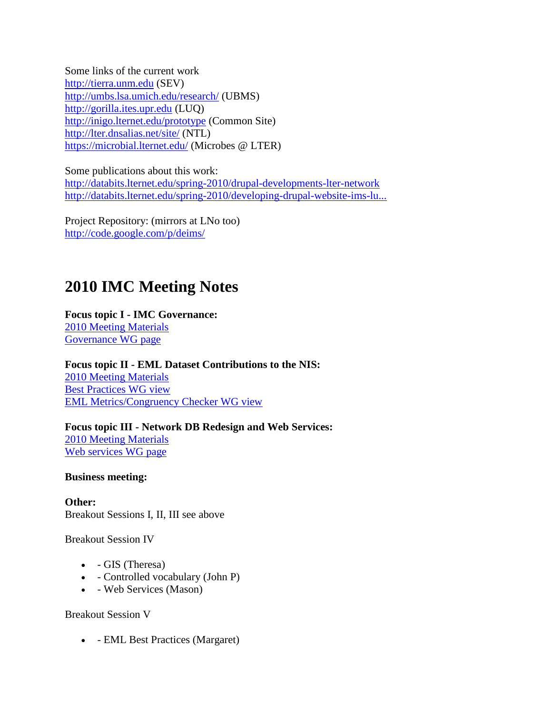Some links of the current work [http://tierra.unm.edu](http://tierra.unm.edu/) (SEV) <http://umbs.lsa.umich.edu/research/> (UBMS) [http://gorilla.ites.upr.edu](http://gorilla.ites.upr.edu/) (LUQ) <http://inigo.lternet.edu/prototype> (Common Site) <http://lter.dnsalias.net/site/> (NTL) <https://microbial.lternet.edu/> (Microbes @ LTER)

Some publications about this work: <http://databits.lternet.edu/spring-2010/drupal-developments-lter-network> [http://databits.lternet.edu/spring-2010/developing-drupal-website-ims-lu...](http://databits.lternet.edu/spring-2010/developing-drupal-website-ims-luquillo-lter-while-learning-drupal)

Project Repository: (mirrors at LNo too) <http://code.google.com/p/deims/>

# **2010 IMC Meeting Notes**

**Focus topic I - IMC Governance:**

[2010 Meeting Materials](http://intranet.lternet.edu/im/news/meetings/2010/notes/governance) [Governance WG page](http://intranet.lternet.edu/im/news/committees/working_groups/governance)

**Focus topic II - EML Dataset Contributions to the NIS:** [2010 Meeting Materials](http://intranet.lternet.edu/im/news/meetings/2010/notes/EML_dataset_contributions) [Best Practices WG view](http://intranet.lternet.edu/im/news/committees/working_groups/emlbestpractices) [EML Metrics/Congruency Checker WG view](http://intranet.lternet.edu/im/news/committees/working_groups/emlcongruencychecker)

**Focus topic III - Network DB Redesign and Web Services:** [2010 Meeting Materials](http://intranet.lternet.edu/im/news/meetings/2010/notes/network_DB_redesign) [Web services WG page](http://intranet.lternet.edu/im/news/committees/working_groups/webservices)

**Business meeting:**

**Other:** Breakout Sessions I, II, III see above

Breakout Session IV

- GIS (Theresa)
- Controlled vocabulary (John P)
- Web Services (Mason)

Breakout Session V

- EML Best Practices (Margaret)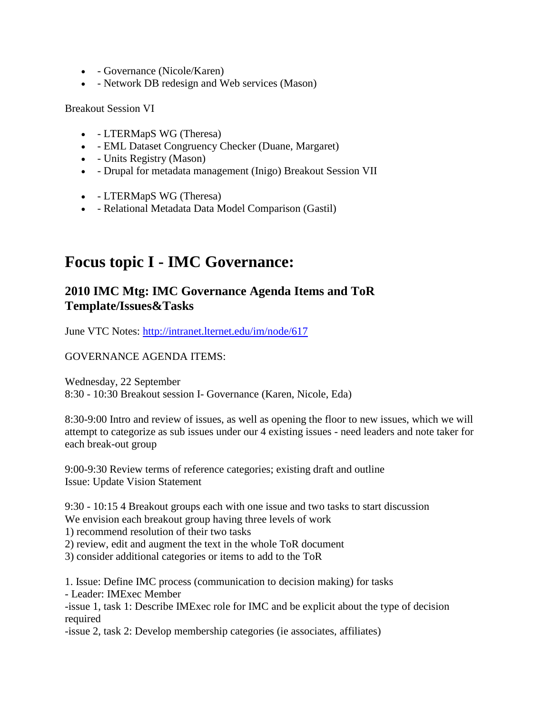- Governance (Nicole/Karen)
- Network DB redesign and Web services (Mason)

Breakout Session VI

- LTERMapS WG (Theresa)
- EML Dataset Congruency Checker (Duane, Margaret)
- Units Registry (Mason)
- Drupal for metadata management (Inigo) Breakout Session VII
- LTERMapS WG (Theresa)
- Relational Metadata Data Model Comparison (Gastil)

# **Focus topic I - IMC Governance:**

# **2010 IMC Mtg: IMC Governance Agenda Items and ToR Template/Issues&Tasks**

June VTC Notes:<http://intranet.lternet.edu/im/node/617>

GOVERNANCE AGENDA ITEMS:

Wednesday, 22 September 8:30 - 10:30 Breakout session I- Governance (Karen, Nicole, Eda)

8:30-9:00 Intro and review of issues, as well as opening the floor to new issues, which we will attempt to categorize as sub issues under our 4 existing issues - need leaders and note taker for each break-out group

9:00-9:30 Review terms of reference categories; existing draft and outline Issue: Update Vision Statement

9:30 - 10:15 4 Breakout groups each with one issue and two tasks to start discussion We envision each breakout group having three levels of work

1) recommend resolution of their two tasks

2) review, edit and augment the text in the whole ToR document

3) consider additional categories or items to add to the ToR

1. Issue: Define IMC process (communication to decision making) for tasks

- Leader: IMExec Member

-issue 1, task 1: Describe IMExec role for IMC and be explicit about the type of decision required

-issue 2, task 2: Develop membership categories (ie associates, affiliates)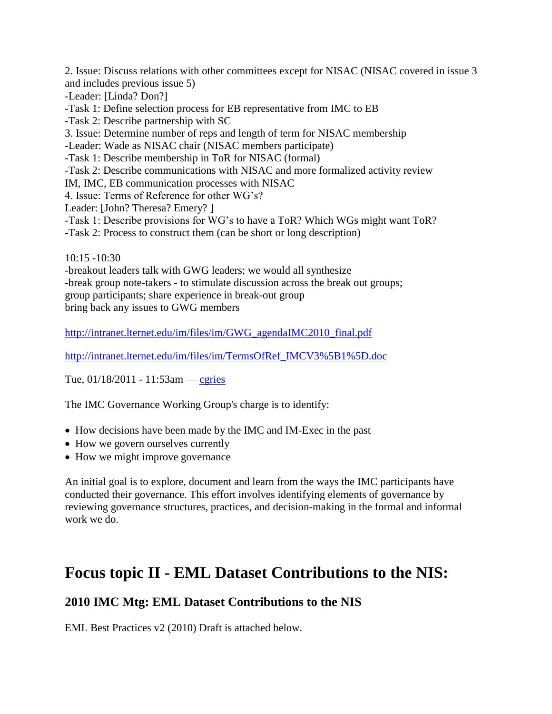2. Issue: Discuss relations with other committees except for NISAC (NISAC covered in issue 3 and includes previous issue 5)

- -Leader: [Linda? Don?]
- -Task 1: Define selection process for EB representative from IMC to EB
- -Task 2: Describe partnership with SC
- 3. Issue: Determine number of reps and length of term for NISAC membership
- -Leader: Wade as NISAC chair (NISAC members participate)
- -Task 1: Describe membership in ToR for NISAC (formal)
- -Task 2: Describe communications with NISAC and more formalized activity review
- IM, IMC, EB communication processes with NISAC
- 4. Issue: Terms of Reference for other WG"s?
- Leader: [John? Theresa? Emery? ]
- -Task 1: Describe provisions for WG"s to have a ToR? Which WGs might want ToR?
- -Task 2: Process to construct them (can be short or long description)

10:15 -10:30

-breakout leaders talk with GWG leaders; we would all synthesize -break group note-takers - to stimulate discussion across the break out groups; group participants; share experience in break-out group bring back any issues to GWG members

[http://intranet.lternet.edu/im/files/im/GWG\\_agendaIMC2010\\_final.pdf](http://intranet.lternet.edu/im/files/im/GWG_agendaIMC2010_final.pdf)

[http://intranet.lternet.edu/im/files/im/TermsOfRef\\_IMCV3%5B1%5D.doc](http://intranet.lternet.edu/im/files/im/TermsOfRef_IMCV3%5B1%5D.doc)

Tue, 01/18/2011 - 11:53am — [cgries](http://intranet.lternet.edu/im/user/24)

The IMC Governance Working Group's charge is to identify:

- How decisions have been made by the IMC and IM-Exec in the past
- How we govern ourselves currently
- How we might improve governance

An initial goal is to explore, document and learn from the ways the IMC participants have conducted their governance. This effort involves identifying elements of governance by reviewing governance structures, practices, and decision-making in the formal and informal work we do.

# **Focus topic II - EML Dataset Contributions to the NIS:**

# **2010 IMC Mtg: EML Dataset Contributions to the NIS**

EML Best Practices v2 (2010) Draft is attached below.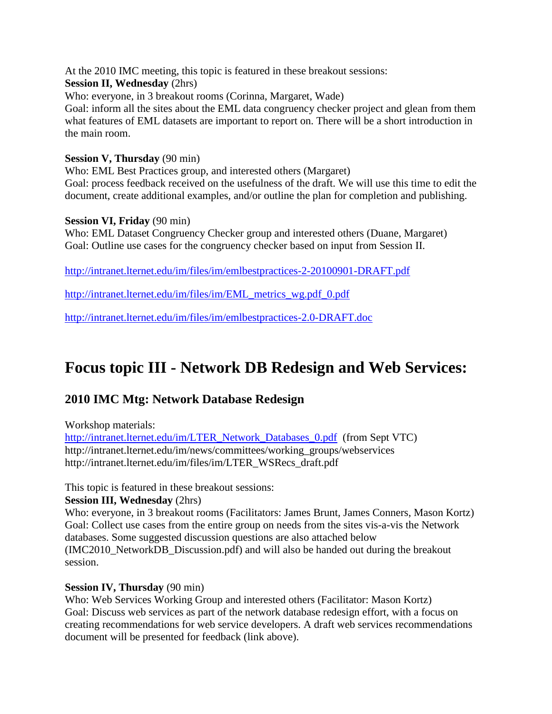At the 2010 IMC meeting, this topic is featured in these breakout sessions:

### **Session II, Wednesday** (2hrs)

Who: everyone, in 3 breakout rooms (Corinna, Margaret, Wade)

Goal: inform all the sites about the EML data congruency checker project and glean from them what features of EML datasets are important to report on. There will be a short introduction in the main room.

### **Session V, Thursday** (90 min)

Who: EML Best Practices group, and interested others (Margaret) Goal: process feedback received on the usefulness of the draft. We will use this time to edit the document, create additional examples, and/or outline the plan for completion and publishing.

### **Session VI, Friday** (90 min)

Who: EML Dataset Congruency Checker group and interested others (Duane, Margaret) Goal: Outline use cases for the congruency checker based on input from Session II.

<http://intranet.lternet.edu/im/files/im/emlbestpractices-2-20100901-DRAFT.pdf>

[http://intranet.lternet.edu/im/files/im/EML\\_metrics\\_wg.pdf\\_0.pdf](http://intranet.lternet.edu/im/files/im/EML_metrics_wg.pdf_0.pdf)

<http://intranet.lternet.edu/im/files/im/emlbestpractices-2.0-DRAFT.doc>

# **Focus topic III - Network DB Redesign and Web Services:**

# **2010 IMC Mtg: Network Database Redesign**

Workshop materials:

[http://intranet.lternet.edu/im/LTER\\_Network\\_Databases\\_0.pdf](http://intranet.lternet.edu/im/LTER_Network_Databases_0.pdf) (from Sept VTC) http://intranet.lternet.edu/im/news/committees/working\_groups/webservices http://intranet.lternet.edu/im/files/im/LTER\_WSRecs\_draft.pdf

This topic is featured in these breakout sessions:

### **Session III, Wednesday** (2hrs)

Who: everyone, in 3 breakout rooms (Facilitators: James Brunt, James Conners, Mason Kortz) Goal: Collect use cases from the entire group on needs from the sites vis-a-vis the Network databases. Some suggested discussion questions are also attached below (IMC2010\_NetworkDB\_Discussion.pdf) and will also be handed out during the breakout session.

### **Session IV, Thursday** (90 min)

Who: Web Services Working Group and interested others (Facilitator: Mason Kortz) Goal: Discuss web services as part of the network database redesign effort, with a focus on creating recommendations for web service developers. A draft web services recommendations document will be presented for feedback (link above).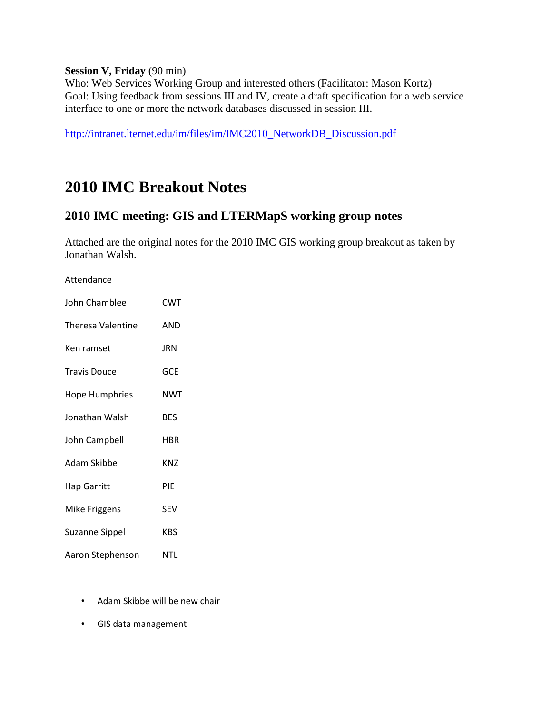### **Session V, Friday** (90 min)

Who: Web Services Working Group and interested others (Facilitator: Mason Kortz) Goal: Using feedback from sessions III and IV, create a draft specification for a web service interface to one or more the network databases discussed in session III.

[http://intranet.lternet.edu/im/files/im/IMC2010\\_NetworkDB\\_Discussion.pdf](http://intranet.lternet.edu/im/files/im/IMC2010_NetworkDB_Discussion.pdf)

# **2010 IMC Breakout Notes**

## **2010 IMC meeting: GIS and LTERMapS working group notes**

Attached are the original notes for the 2010 IMC GIS working group breakout as taken by Jonathan Walsh.

#### Attendance

| John Chamblee         | <b>CWT</b> |
|-----------------------|------------|
| Theresa Valentine     | <b>AND</b> |
| Ken ramset            | JRN        |
| <b>Travis Douce</b>   | <b>GCE</b> |
| <b>Hope Humphries</b> | NWT        |
| Jonathan Walsh        | BES        |
| John Campbell         | HBR        |
| Adam Skibbe           | <b>KNZ</b> |
| <b>Hap Garritt</b>    | PIE        |
| <b>Mike Friggens</b>  | <b>SEV</b> |
| <b>Suzanne Sippel</b> | <b>KBS</b> |
| Aaron Stephenson      | NTL        |

- Adam Skibbe will be new chair
- GIS data management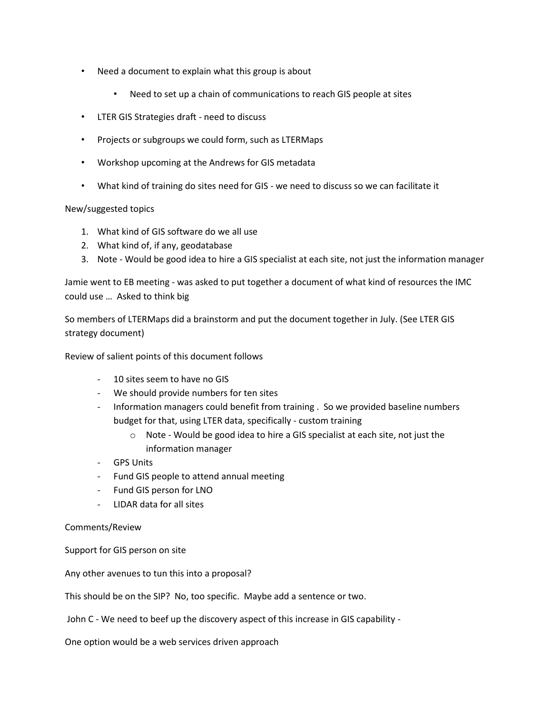- Need a document to explain what this group is about
	- Need to set up a chain of communications to reach GIS people at sites
- LTER GIS Strategies draft need to discuss
- Projects or subgroups we could form, such as LTERMaps
- Workshop upcoming at the Andrews for GIS metadata
- What kind of training do sites need for GIS we need to discuss so we can facilitate it

#### New/suggested topics

- 1. What kind of GIS software do we all use
- 2. What kind of, if any, geodatabase
- 3. Note Would be good idea to hire a GIS specialist at each site, not just the information manager

Jamie went to EB meeting - was asked to put together a document of what kind of resources the IMC could use … Asked to think big

So members of LTERMaps did a brainstorm and put the document together in July. (See LTER GIS strategy document)

Review of salient points of this document follows

- 10 sites seem to have no GIS
- We should provide numbers for ten sites
- Information managers could benefit from training . So we provided baseline numbers budget for that, using LTER data, specifically - custom training
	- o Note Would be good idea to hire a GIS specialist at each site, not just the information manager
- GPS Units
- Fund GIS people to attend annual meeting
- Fund GIS person for LNO
- LIDAR data for all sites

#### Comments/Review

Support for GIS person on site

Any other avenues to tun this into a proposal?

This should be on the SIP? No, too specific. Maybe add a sentence or two.

John C - We need to beef up the discovery aspect of this increase in GIS capability -

One option would be a web services driven approach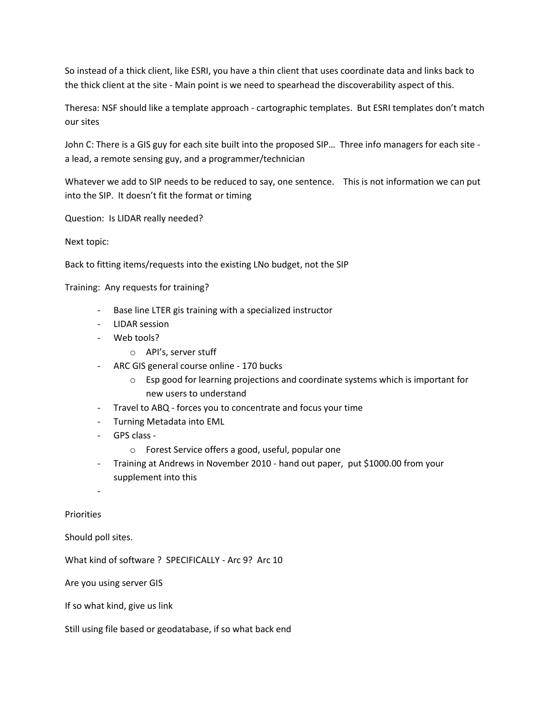So instead of a thick client, like ESRI, you have a thin client that uses coordinate data and links back to the thick client at the site - Main point is we need to spearhead the discoverability aspect of this.

Theresa: NSF should like a template approach - cartographic templates. But ESRI templates don't match our sites

John C: There is a GIS guy for each site built into the proposed SIP… Three info managers for each site a lead, a remote sensing guy, and a programmer/technician

Whatever we add to SIP needs to be reduced to say, one sentence. This is not information we can put into the SIP. It doesn't fit the format or timing

Question: Is LIDAR really needed?

Next topic:

Back to fitting items/requests into the existing LNo budget, not the SIP

Training: Any requests for training?

- Base line LTER gis training with a specialized instructor
- LIDAR session
- Web tools?
	- o API's, server stuff
- ARC GIS general course online 170 bucks
	- o Esp good for learning projections and coordinate systems which is important for new users to understand
- Travel to ABQ forces you to concentrate and focus your time
- Turning Metadata into EML
- GPS class
	- o Forest Service offers a good, useful, popular one
- Training at Andrews in November 2010 hand out paper, put \$1000.00 from your supplement into this

-

**Priorities** 

Should poll sites.

What kind of software ? SPECIFICALLY - Arc 9? Arc 10

Are you using server GIS

If so what kind, give us link

Still using file based or geodatabase, if so what back end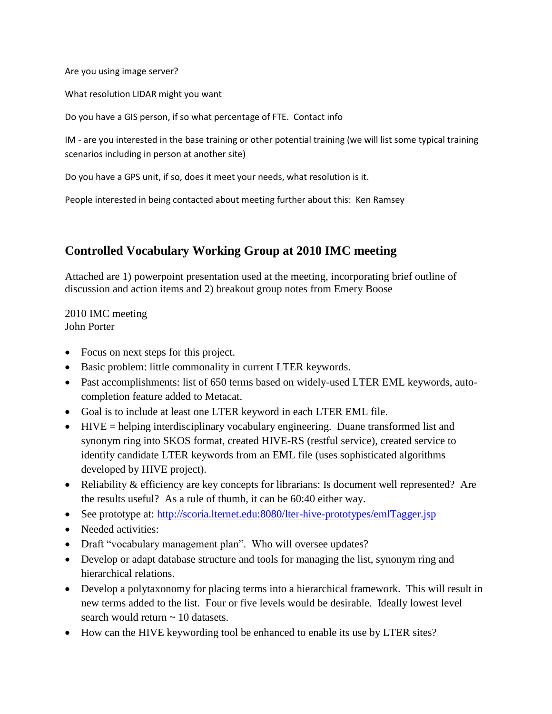Are you using image server?

What resolution LIDAR might you want

Do you have a GIS person, if so what percentage of FTE. Contact info

IM - are you interested in the base training or other potential training (we will list some typical training scenarios including in person at another site)

Do you have a GPS unit, if so, does it meet your needs, what resolution is it.

People interested in being contacted about meeting further about this: Ken Ramsey

# **Controlled Vocabulary Working Group at 2010 IMC meeting**

Attached are 1) powerpoint presentation used at the meeting, incorporating brief outline of discussion and action items and 2) breakout group notes from Emery Boose

2010 IMC meeting John Porter

- Focus on next steps for this project.
- Basic problem: little commonality in current LTER keywords.
- Past accomplishments: list of 650 terms based on widely-used LTER EML keywords, autocompletion feature added to Metacat.
- Goal is to include at least one LTER keyword in each LTER EML file.
- $\bullet$  HIVE = helping interdisciplinary vocabulary engineering. Duane transformed list and synonym ring into SKOS format, created HIVE-RS (restful service), created service to identify candidate LTER keywords from an EML file (uses sophisticated algorithms developed by HIVE project).
- Reliability & efficiency are key concepts for librarians: Is document well represented? Are the results useful? As a rule of thumb, it can be 60:40 either way.
- See prototype at:<http://scoria.lternet.edu:8080/lter-hive-prototypes/emlTagger.jsp>
- Needed activities:
- Draft "vocabulary management plan". Who will oversee updates?
- Develop or adapt database structure and tools for managing the list, synonym ring and hierarchical relations.
- Develop a polytaxonomy for placing terms into a hierarchical framework. This will result in new terms added to the list. Four or five levels would be desirable. Ideally lowest level search would return  $\sim$  10 datasets.
- How can the HIVE keywording tool be enhanced to enable its use by LTER sites?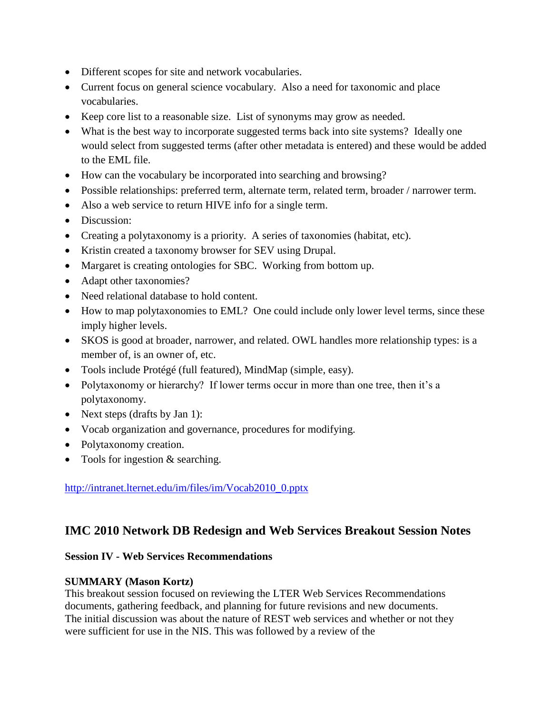- Different scopes for site and network vocabularies.
- Current focus on general science vocabulary. Also a need for taxonomic and place vocabularies.
- Keep core list to a reasonable size. List of synonyms may grow as needed.
- What is the best way to incorporate suggested terms back into site systems? Ideally one would select from suggested terms (after other metadata is entered) and these would be added to the EML file.
- How can the vocabulary be incorporated into searching and browsing?
- Possible relationships: preferred term, alternate term, related term, broader / narrower term.
- Also a web service to return HIVE info for a single term.
- Discussion:
- Creating a polytaxonomy is a priority. A series of taxonomies (habitat, etc).
- Kristin created a taxonomy browser for SEV using Drupal.
- Margaret is creating ontologies for SBC. Working from bottom up.
- Adapt other taxonomies?
- Need relational database to hold content.
- How to map polytaxonomies to EML? One could include only lower level terms, since these imply higher levels.
- SKOS is good at broader, narrower, and related. OWL handles more relationship types: is a member of, is an owner of, etc.
- Tools include Protégé (full featured), MindMap (simple, easy).
- Polytaxonomy or hierarchy? If lower terms occur in more than one tree, then it's a polytaxonomy.
- Next steps (drafts by Jan 1):
- Vocab organization and governance, procedures for modifying.
- Polytaxonomy creation.
- Tools for ingestion & searching.

### [http://intranet.lternet.edu/im/files/im/Vocab2010\\_0.pptx](http://intranet.lternet.edu/im/files/im/Vocab2010_0.pptx)

### **IMC 2010 Network DB Redesign and Web Services Breakout Session Notes**

### **Session IV - Web Services Recommendations**

### **SUMMARY (Mason Kortz)**

This breakout session focused on reviewing the LTER Web Services Recommendations documents, gathering feedback, and planning for future revisions and new documents. The initial discussion was about the nature of REST web services and whether or not they were sufficient for use in the NIS. This was followed by a review of the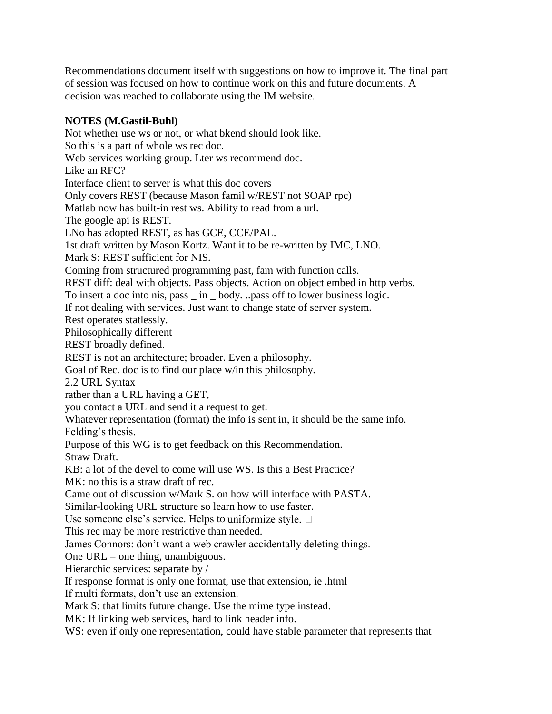Recommendations document itself with suggestions on how to improve it. The final part of session was focused on how to continue work on this and future documents. A decision was reached to collaborate using the IM website.

### **NOTES (M.Gastil-Buhl)**

Not whether use ws or not, or what bkend should look like. So this is a part of whole ws rec doc. Web services working group. Lter ws recommend doc. Like an RFC? Interface client to server is what this doc covers Only covers REST (because Mason famil w/REST not SOAP rpc) Matlab now has built-in rest ws. Ability to read from a url. The google api is REST. LNo has adopted REST, as has GCE, CCE/PAL. 1st draft written by Mason Kortz. Want it to be re-written by IMC, LNO. Mark S: REST sufficient for NIS. Coming from structured programming past, fam with function calls. REST diff: deal with objects. Pass objects. Action on object embed in http verbs. To insert a doc into nis, pass \_ in \_ body. ..pass off to lower business logic. If not dealing with services. Just want to change state of server system. Rest operates statlessly. Philosophically different REST broadly defined. REST is not an architecture; broader. Even a philosophy. Goal of Rec. doc is to find our place w/in this philosophy. 2.2 URL Syntax rather than a URL having a GET, you contact a URL and send it a request to get. Whatever representation (format) the info is sent in, it should be the same info. Felding's thesis. Purpose of this WG is to get feedback on this Recommendation. Straw Draft. KB: a lot of the devel to come will use WS. Is this a Best Practice? MK: no this is a straw draft of rec. Came out of discussion w/Mark S. on how will interface with PASTA. Similar-looking URL structure so learn how to use faster. Use someone else's service. Helps to uniformize style.  $\Box$ This rec may be more restrictive than needed. James Connors: don"t want a web crawler accidentally deleting things. One  $URL = one thing, unambiguous.$ Hierarchic services: separate by / If response format is only one format, use that extension, ie .html If multi formats, don"t use an extension. Mark S: that limits future change. Use the mime type instead. MK: If linking web services, hard to link header info.

WS: even if only one representation, could have stable parameter that represents that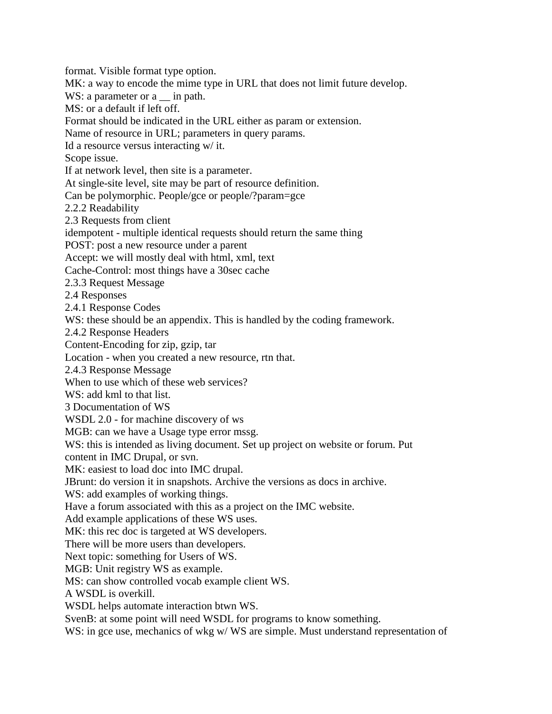format. Visible format type option. MK: a way to encode the mime type in URL that does not limit future develop. WS: a parameter or a \_\_\_ in path. MS: or a default if left off. Format should be indicated in the URL either as param or extension. Name of resource in URL; parameters in query params. Id a resource versus interacting w/ it. Scope issue. If at network level, then site is a parameter. At single-site level, site may be part of resource definition. Can be polymorphic. People/gce or people/?param=gce 2.2.2 Readability 2.3 Requests from client idempotent - multiple identical requests should return the same thing POST: post a new resource under a parent Accept: we will mostly deal with html, xml, text Cache-Control: most things have a 30sec cache 2.3.3 Request Message 2.4 Responses 2.4.1 Response Codes WS: these should be an appendix. This is handled by the coding framework. 2.4.2 Response Headers Content-Encoding for zip, gzip, tar Location - when you created a new resource, rtn that. 2.4.3 Response Message When to use which of these web services? WS: add kml to that list. 3 Documentation of WS WSDL 2.0 - for machine discovery of ws MGB: can we have a Usage type error mssg. WS: this is intended as living document. Set up project on website or forum. Put content in IMC Drupal, or svn. MK: easiest to load doc into IMC drupal. JBrunt: do version it in snapshots. Archive the versions as docs in archive. WS: add examples of working things. Have a forum associated with this as a project on the IMC website. Add example applications of these WS uses. MK: this rec doc is targeted at WS developers. There will be more users than developers. Next topic: something for Users of WS. MGB: Unit registry WS as example. MS: can show controlled vocab example client WS. A WSDL is overkill. WSDL helps automate interaction btwn WS. SvenB: at some point will need WSDL for programs to know something. WS: in gce use, mechanics of wkg w/ WS are simple. Must understand representation of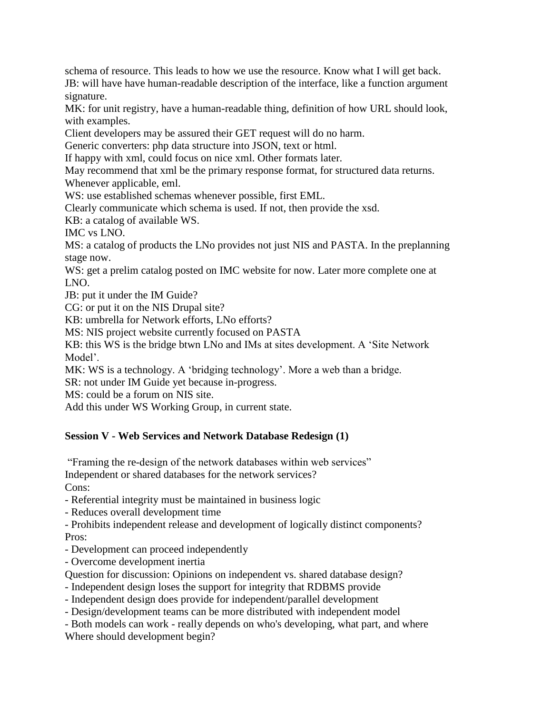schema of resource. This leads to how we use the resource. Know what I will get back.

JB: will have have human-readable description of the interface, like a function argument signature.

MK: for unit registry, have a human-readable thing, definition of how URL should look, with examples.

Client developers may be assured their GET request will do no harm.

Generic converters: php data structure into JSON, text or html.

If happy with xml, could focus on nice xml. Other formats later.

May recommend that xml be the primary response format, for structured data returns.

Whenever applicable, eml.

WS: use established schemas whenever possible, first EML.

Clearly communicate which schema is used. If not, then provide the xsd.

KB: a catalog of available WS.

IMC vs LNO.

MS: a catalog of products the LNo provides not just NIS and PASTA. In the preplanning stage now.

WS: get a prelim catalog posted on IMC website for now. Later more complete one at LNO.

JB: put it under the IM Guide?

CG: or put it on the NIS Drupal site?

KB: umbrella for Network efforts, LNo efforts?

MS: NIS project website currently focused on PASTA

KB: this WS is the bridge btwn LNo and IMs at sites development. A "Site Network Model'.

MK: WS is a technology. A 'bridging technology'. More a web than a bridge.

SR: not under IM Guide yet because in-progress.

MS: could be a forum on NIS site.

Add this under WS Working Group, in current state.

### **Session V - Web Services and Network Database Redesign (1)**

"Framing the re-design of the network databases within web services" Independent or shared databases for the network services?

Cons:

- Referential integrity must be maintained in business logic

- Reduces overall development time

- Prohibits independent release and development of logically distinct components? Pros:

- Development can proceed independently

- Overcome development inertia

Question for discussion: Opinions on independent vs. shared database design?

- Independent design loses the support for integrity that RDBMS provide

- Independent design does provide for independent/parallel development

- Design/development teams can be more distributed with independent model

- Both models can work - really depends on who's developing, what part, and where

Where should development begin?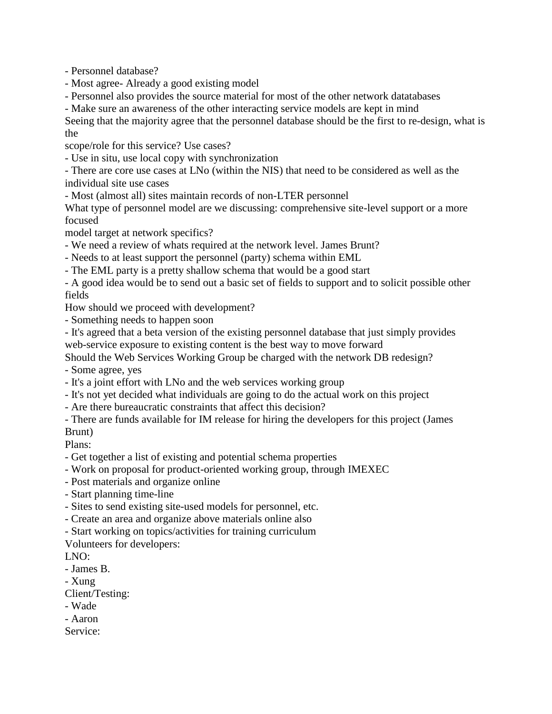- Personnel database?

- Most agree- Already a good existing model
- Personnel also provides the source material for most of the other network datatabases
- Make sure an awareness of the other interacting service models are kept in mind

Seeing that the majority agree that the personnel database should be the first to re-design, what is the

scope/role for this service? Use cases?

- Use in situ, use local copy with synchronization

- There are core use cases at LNo (within the NIS) that need to be considered as well as the individual site use cases

- Most (almost all) sites maintain records of non-LTER personnel

What type of personnel model are we discussing: comprehensive site-level support or a more focused

model target at network specifics?

- We need a review of whats required at the network level. James Brunt?

- Needs to at least support the personnel (party) schema within EML

- The EML party is a pretty shallow schema that would be a good start

- A good idea would be to send out a basic set of fields to support and to solicit possible other fields

How should we proceed with development?

- Something needs to happen soon

- It's agreed that a beta version of the existing personnel database that just simply provides web-service exposure to existing content is the best way to move forward

Should the Web Services Working Group be charged with the network DB redesign?

- Some agree, yes

- It's a joint effort with LNo and the web services working group

- It's not yet decided what individuals are going to do the actual work on this project

- Are there bureaucratic constraints that affect this decision?
- There are funds available for IM release for hiring the developers for this project (James Brunt)

Plans:

- Get together a list of existing and potential schema properties

- Work on proposal for product-oriented working group, through IMEXEC
- Post materials and organize online
- Start planning time-line
- Sites to send existing site-used models for personnel, etc.
- Create an area and organize above materials online also
- Start working on topics/activities for training curriculum

Volunteers for developers:

LNO:

- James B.

- Xung

Client/Testing:

- Wade
- Aaron

Service: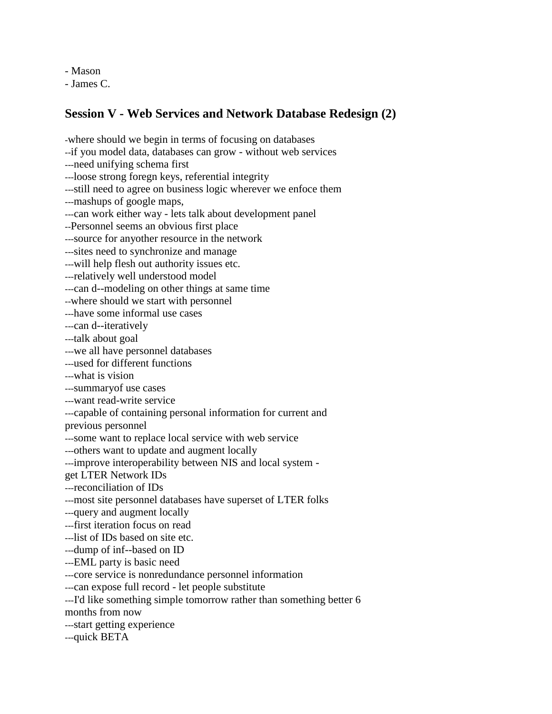- Mason

- James C.

## **Session V - Web Services and Network Database Redesign (2)**

-where should we begin in terms of focusing on databases --if you model data, databases can grow - without web services ---need unifying schema first ---loose strong foregn keys, referential integrity ---still need to agree on business logic wherever we enfoce them ---mashups of google maps, ---can work either way - lets talk about development panel --Personnel seems an obvious first place ---source for anyother resource in the network ---sites need to synchronize and manage ---will help flesh out authority issues etc. ---relatively well understood model ---can d--modeling on other things at same time --where should we start with personnel ---have some informal use cases ---can d--iteratively ---talk about goal ---we all have personnel databases ---used for different functions ---what is vision ---summaryof use cases ---want read-write service ---capable of containing personal information for current and previous personnel ---some want to replace local service with web service ---others want to update and augment locally ---improve interoperability between NIS and local system get LTER Network IDs ---reconciliation of IDs ---most site personnel databases have superset of LTER folks ---query and augment locally ---first iteration focus on read ---list of IDs based on site etc. ---dump of inf--based on ID ---EML party is basic need ---core service is nonredundance personnel information ---can expose full record - let people substitute ---I'd like something simple tomorrow rather than something better 6 months from now ---start getting experience ---quick BETA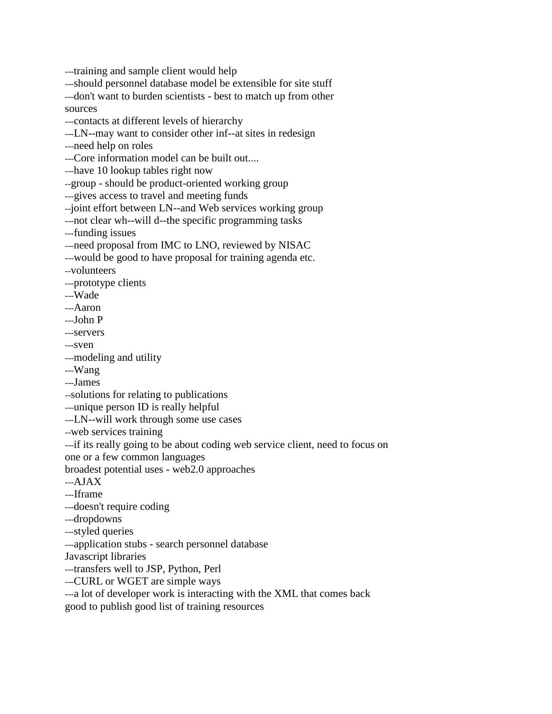---training and sample client would help

---should personnel database model be extensible for site stuff

---don't want to burden scientists - best to match up from other sources

---contacts at different levels of hierarchy

---LN--may want to consider other inf--at sites in redesign

---need help on roles

---Core information model can be built out....

---have 10 lookup tables right now

--group - should be product-oriented working group

---gives access to travel and meeting funds

--joint effort between LN--and Web services working group

---not clear wh--will d--the specific programming tasks

---funding issues

---need proposal from IMC to LNO, reviewed by NISAC

---would be good to have proposal for training agenda etc.

--volunteers

---prototype clients

---Wade

---Aaron

---John P

---servers

---sven

---modeling and utility

---Wang

---James

--solutions for relating to publications

---unique person ID is really helpful

---LN--will work through some use cases

--web services training

---if its really going to be about coding web service client, need to focus on

one or a few common languages

broadest potential uses - web2.0 approaches

---AJAX

---Iframe

---doesn't require coding

---dropdowns

---styled queries

---application stubs - search personnel database

Javascript libraries

---transfers well to JSP, Python, Perl

---CURL or WGET are simple ways

---a lot of developer work is interacting with the XML that comes back

good to publish good list of training resources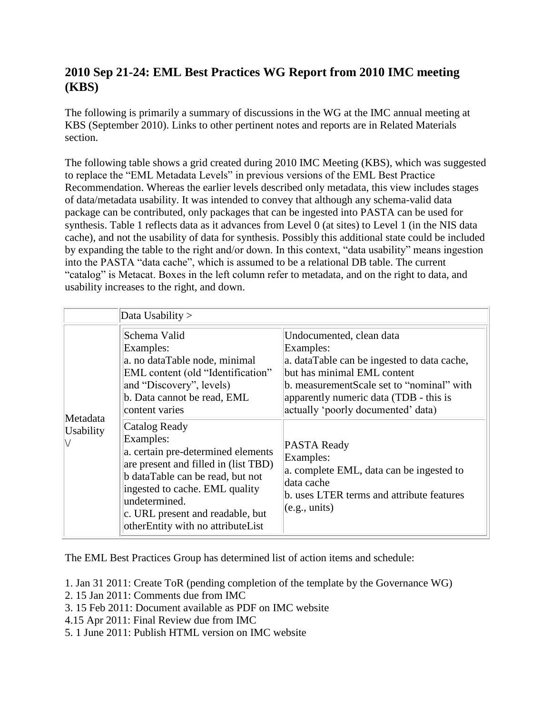# **2010 Sep 21-24: EML Best Practices WG Report from 2010 IMC meeting (KBS)**

The following is primarily a summary of discussions in the WG at the IMC annual meeting at KBS (September 2010). Links to other pertinent notes and reports are in Related Materials section.

The following table shows a grid created during 2010 IMC Meeting (KBS), which was suggested to replace the "EML Metadata Levels" in previous versions of the EML Best Practice Recommendation. Whereas the earlier levels described only metadata, this view includes stages of data/metadata usability. It was intended to convey that although any schema-valid data package can be contributed, only packages that can be ingested into PASTA can be used for synthesis. Table 1 reflects data as it advances from Level 0 (at sites) to Level 1 (in the NIS data cache), and not the usability of data for synthesis. Possibly this additional state could be included by expanding the table to the right and/or down. In this context, "data usability" means ingestion into the PASTA "data cache", which is assumed to be a relational DB table. The current "catalog" is Metacat. Boxes in the left column refer to metadata, and on the right to data, and usability increases to the right, and down.

|                       | Data Usability >                                                                                                                                                                                                                                                         |                                                                                                                                                                          |
|-----------------------|--------------------------------------------------------------------------------------------------------------------------------------------------------------------------------------------------------------------------------------------------------------------------|--------------------------------------------------------------------------------------------------------------------------------------------------------------------------|
|                       | Schema Valid<br>Undocumented, clean data<br>Examples:<br>Examples:<br>a. no dataTable node, minimal<br>but has minimal EML content<br>EML content (old "Identification"<br>and "Discovery", levels)<br>b. Data cannot be read, EML<br>content varies                     | a. dataTable can be ingested to data cache,<br>b. measurementScale set to "nominal" with<br>apparently numeric data (TDB - this is<br>actually 'poorly documented' data) |
| Metadata<br>Usability | Catalog Ready<br>Examples:<br>a. certain pre-determined elements<br>are present and filled in (list TBD)<br>b dataTable can be read, but not<br>ingested to cache. EML quality<br>undetermined.<br>c. URL present and readable, but<br>otherEntity with no attributeList | PASTA Ready<br>Examples:<br>a. complete EML, data can be ingested to<br>data cache<br>b. uses LTER terms and attribute features<br>(e.g., units)                         |

The EML Best Practices Group has determined list of action items and schedule:

- 1. Jan 31 2011: Create ToR (pending completion of the template by the Governance WG)
- 2. 15 Jan 2011: Comments due from IMC
- 3. 15 Feb 2011: Document available as PDF on IMC website
- 4.15 Apr 2011: Final Review due from IMC
- 5. 1 June 2011: Publish HTML version on IMC website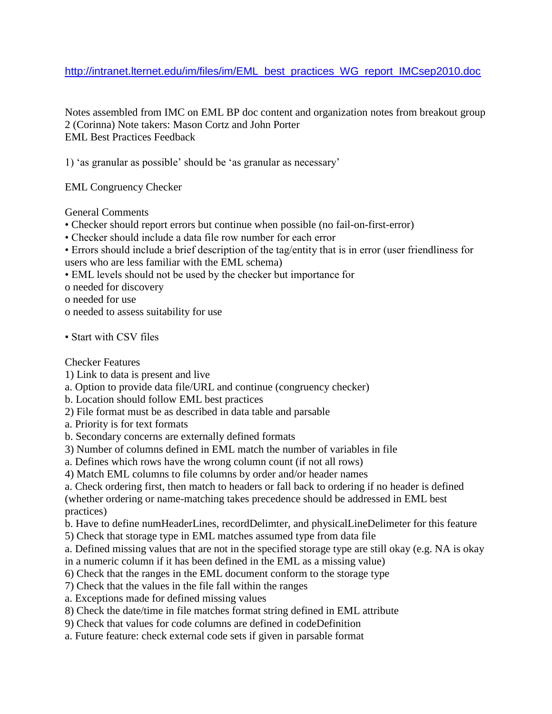### [http://intranet.lternet.edu/im/files/im/EML\\_best\\_practices\\_WG\\_report\\_IMCsep2010.doc](http://intranet.lternet.edu/im/files/im/EML_best_practices_WG_report_IMCsep2010.doc)

Notes assembled from IMC on EML BP doc content and organization notes from breakout group 2 (Corinna) Note takers: Mason Cortz and John Porter EML Best Practices Feedback

1) "as granular as possible" should be "as granular as necessary"

EML Congruency Checker

General Comments

- Checker should report errors but continue when possible (no fail-on-first-error)
- Checker should include a data file row number for each error
- Errors should include a brief description of the tag/entity that is in error (user friendliness for users who are less familiar with the EML schema)
- EML levels should not be used by the checker but importance for

o needed for discovery

o needed for use

- o needed to assess suitability for use
- Start with CSV files

Checker Features

- 1) Link to data is present and live
- a. Option to provide data file/URL and continue (congruency checker)
- b. Location should follow EML best practices
- 2) File format must be as described in data table and parsable
- a. Priority is for text formats
- b. Secondary concerns are externally defined formats
- 3) Number of columns defined in EML match the number of variables in file
- a. Defines which rows have the wrong column count (if not all rows)
- 4) Match EML columns to file columns by order and/or header names
- a. Check ordering first, then match to headers or fall back to ordering if no header is defined (whether ordering or name-matching takes precedence should be addressed in EML best practices)
- b. Have to define numHeaderLines, recordDelimter, and physicalLineDelimeter for this feature
- 5) Check that storage type in EML matches assumed type from data file
- a. Defined missing values that are not in the specified storage type are still okay (e.g. NA is okay in a numeric column if it has been defined in the EML as a missing value)
- 6) Check that the ranges in the EML document conform to the storage type
- 7) Check that the values in the file fall within the ranges
- a. Exceptions made for defined missing values
- 8) Check the date/time in file matches format string defined in EML attribute
- 9) Check that values for code columns are defined in codeDefinition
- a. Future feature: check external code sets if given in parsable format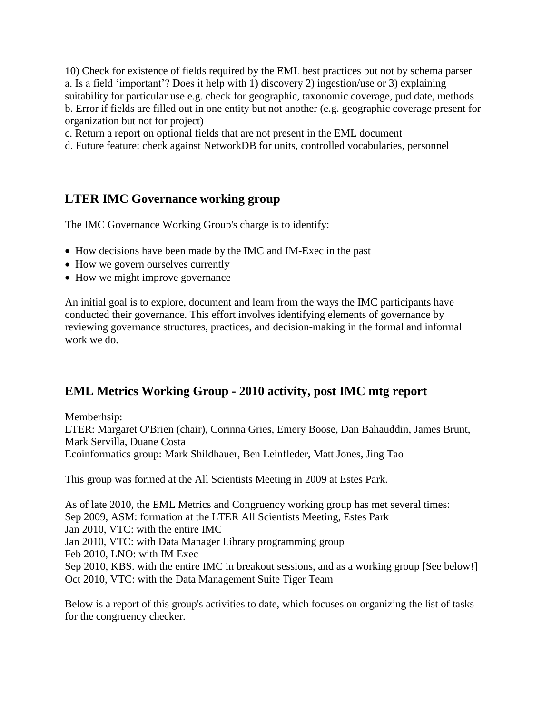10) Check for existence of fields required by the EML best practices but not by schema parser a. Is a field "important"? Does it help with 1) discovery 2) ingestion/use or 3) explaining suitability for particular use e.g. check for geographic, taxonomic coverage, pud date, methods b. Error if fields are filled out in one entity but not another (e.g. geographic coverage present for organization but not for project)

c. Return a report on optional fields that are not present in the EML document

d. Future feature: check against NetworkDB for units, controlled vocabularies, personnel

# **LTER IMC Governance working group**

The IMC Governance Working Group's charge is to identify:

- How decisions have been made by the IMC and IM-Exec in the past
- How we govern ourselves currently
- How we might improve governance

An initial goal is to explore, document and learn from the ways the IMC participants have conducted their governance. This effort involves identifying elements of governance by reviewing governance structures, practices, and decision-making in the formal and informal work we do.

# **EML Metrics Working Group - 2010 activity, post IMC mtg report**

Memberhsip:

LTER: Margaret O'Brien (chair), Corinna Gries, Emery Boose, Dan Bahauddin, James Brunt, Mark Servilla, Duane Costa Ecoinformatics group: Mark Shildhauer, Ben Leinfleder, Matt Jones, Jing Tao

This group was formed at the All Scientists Meeting in 2009 at Estes Park.

As of late 2010, the EML Metrics and Congruency working group has met several times: Sep 2009, ASM: formation at the LTER All Scientists Meeting, Estes Park Jan 2010, VTC: with the entire IMC Jan 2010, VTC: with Data Manager Library programming group Feb 2010, LNO: with IM Exec Sep 2010, KBS. with the entire IMC in breakout sessions, and as a working group [See below!] Oct 2010, VTC: with the Data Management Suite Tiger Team

Below is a report of this group's activities to date, which focuses on organizing the list of tasks for the congruency checker.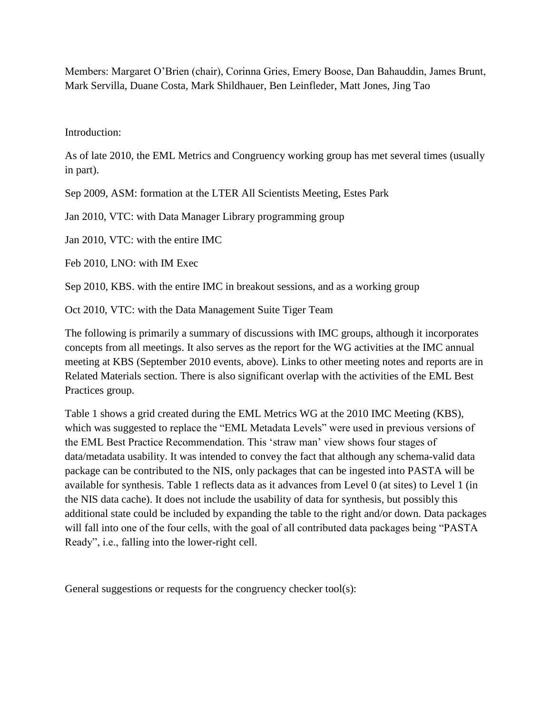Members: Margaret O"Brien (chair), Corinna Gries, Emery Boose, Dan Bahauddin, James Brunt, Mark Servilla, Duane Costa, Mark Shildhauer, Ben Leinfleder, Matt Jones, Jing Tao

Introduction:

As of late 2010, the EML Metrics and Congruency working group has met several times (usually in part).

Sep 2009, ASM: formation at the LTER All Scientists Meeting, Estes Park

Jan 2010, VTC: with Data Manager Library programming group

Jan 2010, VTC: with the entire IMC

Feb 2010, LNO: with IM Exec

Sep 2010, KBS. with the entire IMC in breakout sessions, and as a working group

Oct 2010, VTC: with the Data Management Suite Tiger Team

The following is primarily a summary of discussions with IMC groups, although it incorporates concepts from all meetings. It also serves as the report for the WG activities at the IMC annual meeting at KBS (September 2010 events, above). Links to other meeting notes and reports are in Related Materials section. There is also significant overlap with the activities of the EML Best Practices group.

Table 1 shows a grid created during the EML Metrics WG at the 2010 IMC Meeting (KBS), which was suggested to replace the "EML Metadata Levels" were used in previous versions of the EML Best Practice Recommendation. This "straw man" view shows four stages of data/metadata usability. It was intended to convey the fact that although any schema-valid data package can be contributed to the NIS, only packages that can be ingested into PASTA will be available for synthesis. Table 1 reflects data as it advances from Level 0 (at sites) to Level 1 (in the NIS data cache). It does not include the usability of data for synthesis, but possibly this additional state could be included by expanding the table to the right and/or down. Data packages will fall into one of the four cells, with the goal of all contributed data packages being "PASTA Ready", i.e., falling into the lower-right cell.

General suggestions or requests for the congruency checker tool(s):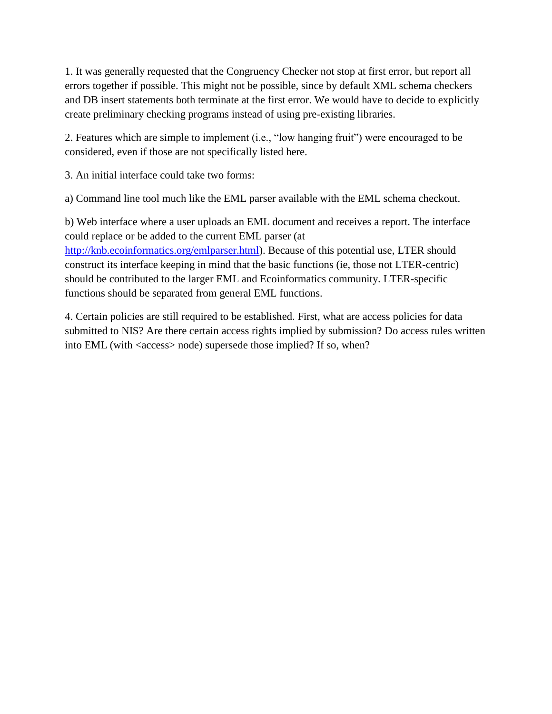1. It was generally requested that the Congruency Checker not stop at first error, but report all errors together if possible. This might not be possible, since by default XML schema checkers and DB insert statements both terminate at the first error. We would have to decide to explicitly create preliminary checking programs instead of using pre-existing libraries.

2. Features which are simple to implement (i.e., "low hanging fruit") were encouraged to be considered, even if those are not specifically listed here.

3. An initial interface could take two forms:

a) Command line tool much like the EML parser available with the EML schema checkout.

b) Web interface where a user uploads an EML document and receives a report. The interface could replace or be added to the current EML parser (at [http://knb.ecoinformatics.org/emlparser.html\)](http://knb.ecoinformatics.org/emlparser.html). Because of this potential use, LTER should construct its interface keeping in mind that the basic functions (ie, those not LTER-centric) should be contributed to the larger EML and Ecoinformatics community. LTER-specific functions should be separated from general EML functions.

4. Certain policies are still required to be established. First, what are access policies for data submitted to NIS? Are there certain access rights implied by submission? Do access rules written into EML (with <access> node) supersede those implied? If so, when?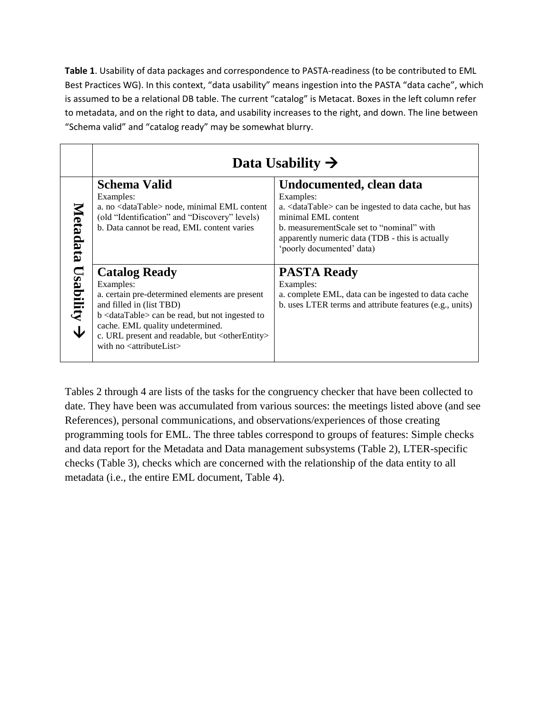**Table 1**. Usability of data packages and correspondence to PASTA-readiness (to be contributed to EML Best Practices WG). In this context, "data usability" means ingestion into the PASTA "data cache", which is assumed to be a relational DB table. The current "catalog" is Metacat. Boxes in the left column refer to metadata, and on the right to data, and usability increases to the right, and down. The line between "Schema valid" and "catalog ready" may be somewhat blurry.

|                              | Data Usability $\rightarrow$                                                                                                                                                                                                                                                                                                                    |                                                                                                                                                                                                                                                                    |
|------------------------------|-------------------------------------------------------------------------------------------------------------------------------------------------------------------------------------------------------------------------------------------------------------------------------------------------------------------------------------------------|--------------------------------------------------------------------------------------------------------------------------------------------------------------------------------------------------------------------------------------------------------------------|
| Metadata                     | <b>Schema Valid</b><br>Examples:<br>a. no <datatable> node, minimal EML content<br/>(old "Identification" and "Discovery" levels)<br/>b. Data cannot be read, EML content varies</datatable>                                                                                                                                                    | Undocumented, clean data<br>Examples:<br>a. <datatable> can be ingested to data cache, but has<br/>minimal EML content<br/>b. measurementScale set to "nominal" with<br/>apparently numeric data (TDB - this is actually<br/>'poorly documented' data)</datatable> |
| $\epsilon$ $\Delta$ equition | <b>Catalog Ready</b><br>Examples:<br>a. certain pre-determined elements are present<br>and filled in (list TBD)<br>b <datatable> can be read, but not ingested to<br/>cache. EML quality undetermined.<br/>c. URL present and readable, but <otherentity><br/>with no <math>\leq</math>attributeList<math>&gt;</math></otherentity></datatable> | <b>PASTA Ready</b><br>Examples:<br>a. complete EML, data can be ingested to data cache<br>b. uses LTER terms and attribute features (e.g., units)                                                                                                                  |

Tables 2 through 4 are lists of the tasks for the congruency checker that have been collected to date. They have been was accumulated from various sources: the meetings listed above (and see References), personal communications, and observations/experiences of those creating programming tools for EML. The three tables correspond to groups of features: Simple checks and data report for the Metadata and Data management subsystems (Table 2), LTER-specific checks (Table 3), checks which are concerned with the relationship of the data entity to all metadata (i.e., the entire EML document, Table 4).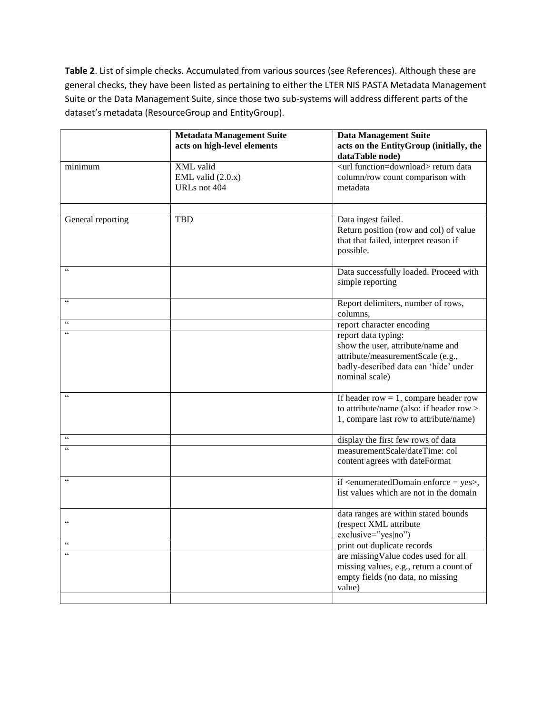**Table 2**. List of simple checks. Accumulated from various sources (see References). Although these are general checks, they have been listed as pertaining to either the LTER NIS PASTA Metadata Management Suite or the Data Management Suite, since those two sub-systems will address different parts of the dataset's metadata (ResourceGroup and EntityGroup).

|                             | <b>Metadata Management Suite</b>                 | <b>Data Management Suite</b>                                                                                                                             |
|-----------------------------|--------------------------------------------------|----------------------------------------------------------------------------------------------------------------------------------------------------------|
|                             | acts on high-level elements                      | acts on the EntityGroup (initially, the<br>dataTable node)                                                                                               |
| minimum                     | XML valid<br>EML valid $(2.0.x)$<br>URLs not 404 | <url function="download"> return data<br/>column/row count comparison with<br/>metadata</url>                                                            |
| General reporting           | <b>TBD</b>                                       | Data ingest failed.<br>Return position (row and col) of value<br>that that failed, interpret reason if<br>possible.                                      |
| $\zeta$ $\zeta$             |                                                  | Data successfully loaded. Proceed with<br>simple reporting                                                                                               |
| $\mathsf{c}\,\mathsf{c}$    |                                                  | Report delimiters, number of rows,<br>columns,                                                                                                           |
| $\mathsf{c}\,\mathsf{c}$    |                                                  | report character encoding                                                                                                                                |
| $\mathsf{c}\,\mathsf{c}$    |                                                  | report data typing:<br>show the user, attribute/name and<br>attribute/measurementScale (e.g.,<br>badly-described data can 'hide' under<br>nominal scale) |
| $\pmb{\zeta}$ $\pmb{\zeta}$ |                                                  | If header row $= 1$ , compare header row<br>to attribute/name (also: if header row ><br>1, compare last row to attribute/name)                           |
| $\epsilon\epsilon$          |                                                  | display the first few rows of data                                                                                                                       |
| $\pmb{\zeta}$ $\pmb{\zeta}$ |                                                  | measurementScale/dateTime: col<br>content agrees with dateFormat                                                                                         |
| $\zeta$ $\zeta$             |                                                  | if <enumerateddomain enforce="yes">,<br/>list values which are not in the domain</enumerateddomain>                                                      |
| $\mathsf{c}\,\mathsf{c}$    |                                                  | data ranges are within stated bounds<br>(respect XML attribute<br>exclusive="yes no")                                                                    |
| $\epsilon$ $\epsilon$       |                                                  | print out duplicate records                                                                                                                              |
| $\epsilon\,\epsilon$        |                                                  | are missing Value codes used for all<br>missing values, e.g., return a count of<br>empty fields (no data, no missing<br>value)                           |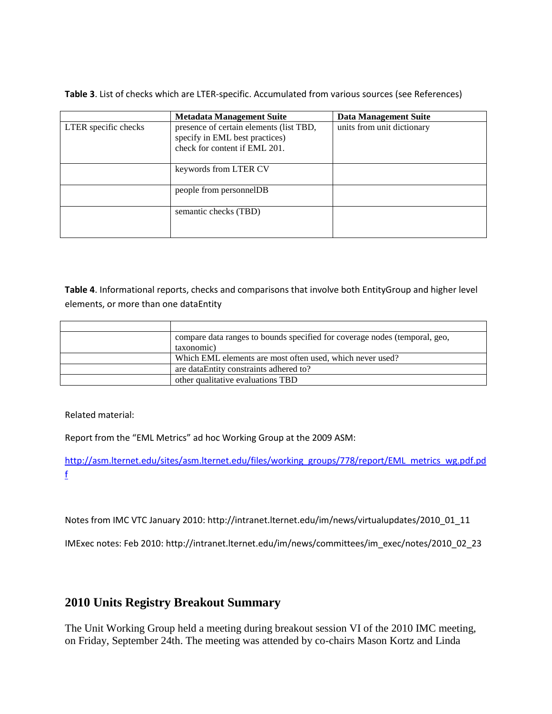**Table 3**. List of checks which are LTER-specific. Accumulated from various sources (see References)

|                      | <b>Metadata Management Suite</b>                                          | <b>Data Management Suite</b> |
|----------------------|---------------------------------------------------------------------------|------------------------------|
| LTER specific checks | presence of certain elements (list TBD,<br>specify in EML best practices) | units from unit dictionary   |
|                      | check for content if EML 201.                                             |                              |
|                      | keywords from LTER CV                                                     |                              |
|                      | people from personnelDB                                                   |                              |
|                      | semantic checks (TBD)                                                     |                              |

**Table 4**. Informational reports, checks and comparisons that involve both EntityGroup and higher level elements, or more than one dataEntity

| compare data ranges to bounds specified for coverage nodes (temporal, geo, |
|----------------------------------------------------------------------------|
| taxonomic)                                                                 |
| Which EML elements are most often used, which never used?                  |
| are dataEntity constraints adhered to?                                     |
| other qualitative evaluations TBD                                          |

Related material:

Report from the "EML Metrics" ad hoc Working Group at the 2009 ASM:

[http://asm.lternet.edu/sites/asm.lternet.edu/files/working\\_groups/778/report/EML\\_metrics\\_wg.pdf.pd](http://asm.lternet.edu/sites/asm.lternet.edu/files/working_groups/778/report/EML_metrics_wg.pdf.pdf) [f](http://asm.lternet.edu/sites/asm.lternet.edu/files/working_groups/778/report/EML_metrics_wg.pdf.pdf)

Notes from IMC VTC January 2010: http://intranet.lternet.edu/im/news/virtualupdates/2010\_01\_11

IMExec notes: Feb 2010: http://intranet.lternet.edu/im/news/committees/im\_exec/notes/2010\_02\_23

## **2010 Units Registry Breakout Summary**

The Unit Working Group held a meeting during breakout session VI of the 2010 IMC meeting, on Friday, September 24th. The meeting was attended by co-chairs Mason Kortz and Linda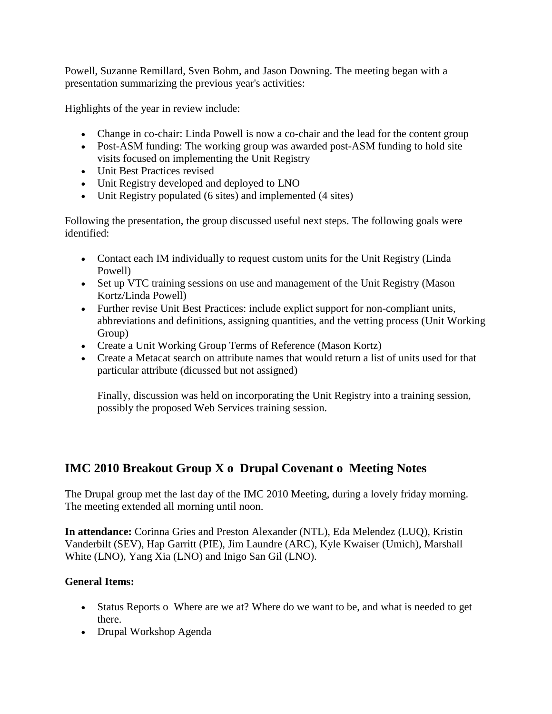Powell, Suzanne Remillard, Sven Bohm, and Jason Downing. The meeting began with a presentation summarizing the previous year's activities:

Highlights of the year in review include:

- Change in co-chair: Linda Powell is now a co-chair and the lead for the content group
- Post-ASM funding: The working group was awarded post-ASM funding to hold site visits focused on implementing the Unit Registry
- Unit Best Practices revised
- Unit Registry developed and deployed to LNO
- Unit Registry populated (6 sites) and implemented (4 sites)

Following the presentation, the group discussed useful next steps. The following goals were identified:

- Contact each IM individually to request custom units for the Unit Registry (Linda Powell)
- Set up VTC training sessions on use and management of the Unit Registry (Mason Kortz/Linda Powell)
- Further revise Unit Best Practices: include explict support for non-compliant units, abbreviations and definitions, assigning quantities, and the vetting process (Unit Working Group)
- Create a Unit Working Group Terms of Reference (Mason Kortz)
- Create a Metacat search on attribute names that would return a list of units used for that particular attribute (dicussed but not assigned)

Finally, discussion was held on incorporating the Unit Registry into a training session, possibly the proposed Web Services training session.

# **IMC 2010 Breakout Group X o Drupal Covenant o Meeting Notes**

The Drupal group met the last day of the IMC 2010 Meeting, during a lovely friday morning. The meeting extended all morning until noon.

**In attendance:** Corinna Gries and Preston Alexander (NTL), Eda Melendez (LUQ), Kristin Vanderbilt (SEV), Hap Garritt (PIE), Jim Laundre (ARC), Kyle Kwaiser (Umich), Marshall White (LNO), Yang Xia (LNO) and Inigo San Gil (LNO).

### **General Items:**

- Status Reports o Where are we at? Where do we want to be, and what is needed to get there.
- Drupal Workshop Agenda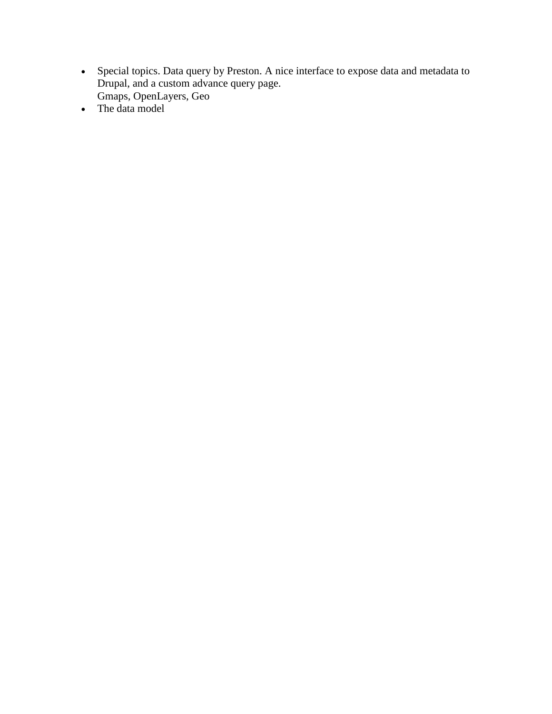- Special topics. Data query by Preston. A nice interface to expose data and metadata to Drupal, and a custom advance query page. Gmaps, OpenLayers, Geo
- The data model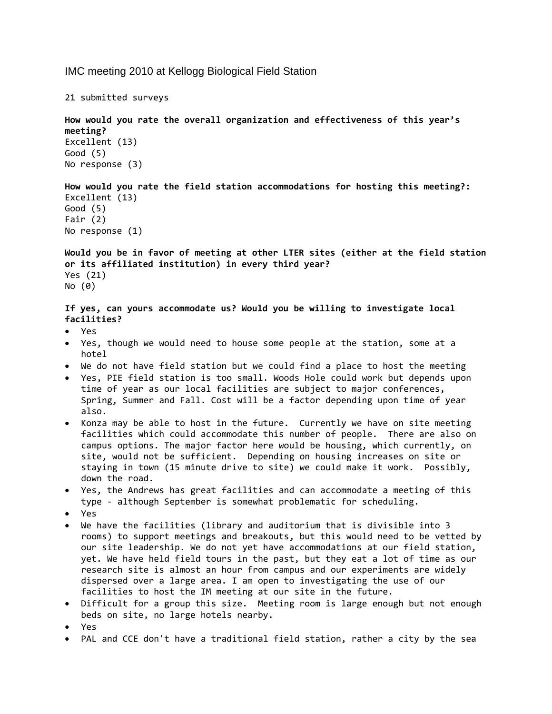IMC meeting 2010 at Kellogg Biological Field Station

21 submitted surveys

**How would you rate the overall organization and effectiveness of this year's meeting?** Excellent (13) Good (5) No response (3)

**How would you rate the field station accommodations for hosting this meeting?:** Excellent (13) Good (5) Fair (2) No response (1)

**Would you be in favor of meeting at other LTER sites (either at the field station or its affiliated institution) in every third year?** Yes (21) No (0)

**If yes, can yours accommodate us? Would you be willing to investigate local facilities?**

- Yes
- Yes, though we would need to house some people at the station, some at a hotel
- We do not have field station but we could find a place to host the meeting
- Yes, PIE field station is too small. Woods Hole could work but depends upon time of year as our local facilities are subject to major conferences, Spring, Summer and Fall. Cost will be a factor depending upon time of year also.
- Konza may be able to host in the future. Currently we have on site meeting facilities which could accommodate this number of people. There are also on campus options. The major factor here would be housing, which currently, on site, would not be sufficient. Depending on housing increases on site or staying in town (15 minute drive to site) we could make it work. Possibly, down the road.
- Yes, the Andrews has great facilities and can accommodate a meeting of this type ‐ although September is somewhat problematic for scheduling.
- Yes
- We have the facilities (library and auditorium that is divisible into 3 rooms) to support meetings and breakouts, but this would need to be vetted by our site leadership. We do not yet have accommodations at our field station, yet. We have held field tours in the past, but they eat a lot of time as our research site is almost an hour from campus and our experiments are widely dispersed over a large area. I am open to investigating the use of our facilities to host the IM meeting at our site in the future.
- Difficult for a group this size. Meeting room is large enough but not enough beds on site, no large hotels nearby.
- Yes
- PAL and CCE don't have a traditional field station, rather a city by the sea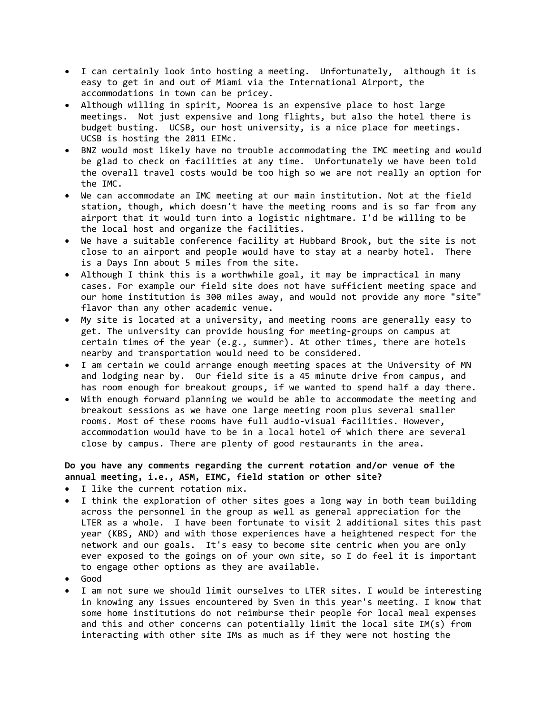- I can certainly look into hosting a meeting. Unfortunately, although it is easy to get in and out of Miami via the International Airport, the accommodations in town can be pricey.
- Although willing in spirit, Moorea is an expensive place to host large meetings. Not just expensive and long flights, but also the hotel there is budget busting. UCSB, our host university, is a nice place for meetings. UCSB is hosting the 2011 EIMc.
- BNZ would most likely have no trouble accommodating the IMC meeting and would be glad to check on facilities at any time. Unfortunately we have been told the overall travel costs would be too high so we are not really an option for the IMC.
- We can accommodate an IMC meeting at our main institution. Not at the field station, though, which doesn't have the meeting rooms and is so far from any airport that it would turn into a logistic nightmare. I'd be willing to be the local host and organize the facilities.
- We have a suitable conference facility at Hubbard Brook, but the site is not close to an airport and people would have to stay at a nearby hotel. There is a Days Inn about 5 miles from the site.
- Although I think this is a worthwhile goal, it may be impractical in many cases. For example our field site does not have sufficient meeting space and our home institution is 300 miles away, and would not provide any more "site" flavor than any other academic venue.
- My site is located at a university, and meeting rooms are generally easy to get. The university can provide housing for meeting‐groups on campus at certain times of the year (e.g., summer). At other times, there are hotels nearby and transportation would need to be considered.
- I am certain we could arrange enough meeting spaces at the University of MN and lodging near by. Our field site is a 45 minute drive from campus, and has room enough for breakout groups, if we wanted to spend half a day there.
- With enough forward planning we would be able to accommodate the meeting and breakout sessions as we have one large meeting room plus several smaller rooms. Most of these rooms have full audio‐visual facilities. However, accommodation would have to be in a local hotel of which there are several close by campus. There are plenty of good restaurants in the area.

### **Do you have any comments regarding the current rotation and/or venue of the annual meeting, i.e., ASM, EIMC, field station or other site?**

- I like the current rotation mix.
- I think the exploration of other sites goes a long way in both team building across the personnel in the group as well as general appreciation for the LTER as a whole. I have been fortunate to visit 2 additional sites this past year (KBS, AND) and with those experiences have a heightened respect for the network and our goals. It's easy to become site centric when you are only ever exposed to the goings on of your own site, so I do feel it is important to engage other options as they are available.
- Good
- I am not sure we should limit ourselves to LTER sites. I would be interesting in knowing any issues encountered by Sven in this year's meeting. I know that some home institutions do not reimburse their people for local meal expenses and this and other concerns can potentially limit the local site IM(s) from interacting with other site IMs as much as if they were not hosting the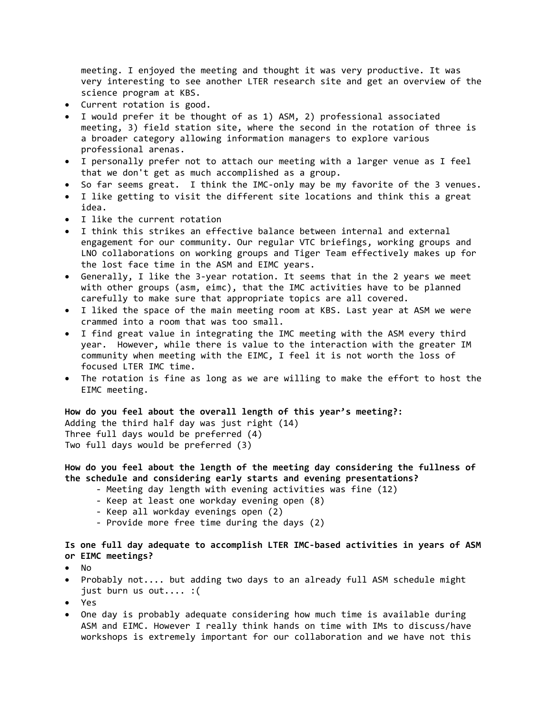meeting. I enjoyed the meeting and thought it was very productive. It was very interesting to see another LTER research site and get an overview of the science program at KBS.

- Current rotation is good.
- I would prefer it be thought of as 1) ASM, 2) professional associated meeting, 3) field station site, where the second in the rotation of three is a broader category allowing information managers to explore various professional arenas.
- I personally prefer not to attach our meeting with a larger venue as I feel that we don't get as much accomplished as a group.
- So far seems great. I think the IMC‐only may be my favorite of the 3 venues.
- I like getting to visit the different site locations and think this a great idea.
- I like the current rotation
- I think this strikes an effective balance between internal and external engagement for our community. Our regular VTC briefings, working groups and LNO collaborations on working groups and Tiger Team effectively makes up for the lost face time in the ASM and EIMC years.
- Generally, I like the 3‐year rotation. It seems that in the 2 years we meet with other groups (asm, eimc), that the IMC activities have to be planned carefully to make sure that appropriate topics are all covered.
- I liked the space of the main meeting room at KBS. Last year at ASM we were crammed into a room that was too small.
- I find great value in integrating the IMC meeting with the ASM every third year. However, while there is value to the interaction with the greater IM community when meeting with the EIMC, I feel it is not worth the loss of focused LTER IMC time.
- The rotation is fine as long as we are willing to make the effort to host the EIMC meeting.

**How do you feel about the overall length of this year's meeting?:**  Adding the third half day was just right (14) Three full days would be preferred (4) Two full days would be preferred (3)

**How do you feel about the length of the meeting day considering the fullness of the schedule and considering early starts and evening presentations?**

- ‐ Meeting day length with evening activities was fine (12)
- ‐ Keep at least one workday evening open (8)
- ‐ Keep all workday evenings open (2)
- ‐ Provide more free time during the days (2)

**Is one full day adequate to accomplish LTER IMC‐based activities in years of ASM or EIMC meetings?**

- No
- Probably not.... but adding two days to an already full ASM schedule might just burn us out.... :(
- Yes
- One day is probably adequate considering how much time is available during ASM and EIMC. However I really think hands on time with IMs to discuss/have workshops is extremely important for our collaboration and we have not this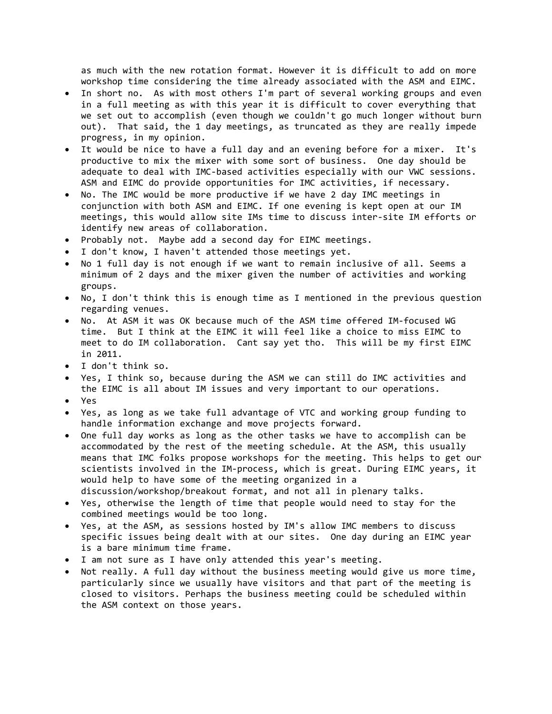as much with the new rotation format. However it is difficult to add on more workshop time considering the time already associated with the ASM and EIMC.

- In short no. As with most others I'm part of several working groups and even in a full meeting as with this year it is difficult to cover everything that we set out to accomplish (even though we couldn't go much longer without burn out). That said, the 1 day meetings, as truncated as they are really impede progress, in my opinion.
- It would be nice to have a full day and an evening before for a mixer. It's productive to mix the mixer with some sort of business. One day should be adequate to deal with IMC‐based activities especially with our VWC sessions. ASM and EIMC do provide opportunities for IMC activities, if necessary.
- No. The IMC would be more productive if we have 2 day IMC meetings in conjunction with both ASM and EIMC. If one evening is kept open at our IM meetings, this would allow site IMs time to discuss inter‐site IM efforts or identify new areas of collaboration.
- Probably not. Maybe add a second day for EIMC meetings.
- I don't know, I haven't attended those meetings yet.
- No 1 full day is not enough if we want to remain inclusive of all. Seems a minimum of 2 days and the mixer given the number of activities and working groups.
- No, I don't think this is enough time as I mentioned in the previous question regarding venues.
- No. At ASM it was OK because much of the ASM time offered IM‐focused WG time. But I think at the EIMC it will feel like a choice to miss EIMC to meet to do IM collaboration. Cant say yet tho. This will be my first EIMC in 2011.
- I don't think so.
- Yes, I think so, because during the ASM we can still do IMC activities and the EIMC is all about IM issues and very important to our operations.
- Yes
- Yes, as long as we take full advantage of VTC and working group funding to handle information exchange and move projects forward.
- One full day works as long as the other tasks we have to accomplish can be accommodated by the rest of the meeting schedule. At the ASM, this usually means that IMC folks propose workshops for the meeting. This helps to get our scientists involved in the IM‐process, which is great. During EIMC years, it would help to have some of the meeting organized in a
- discussion/workshop/breakout format, and not all in plenary talks.
- Yes, otherwise the length of time that people would need to stay for the combined meetings would be too long.
- Yes, at the ASM, as sessions hosted by IM's allow IMC members to discuss specific issues being dealt with at our sites. One day during an EIMC year is a bare minimum time frame.
- I am not sure as I have only attended this year's meeting.
- Not really. A full day without the business meeting would give us more time, particularly since we usually have visitors and that part of the meeting is closed to visitors. Perhaps the business meeting could be scheduled within the ASM context on those years.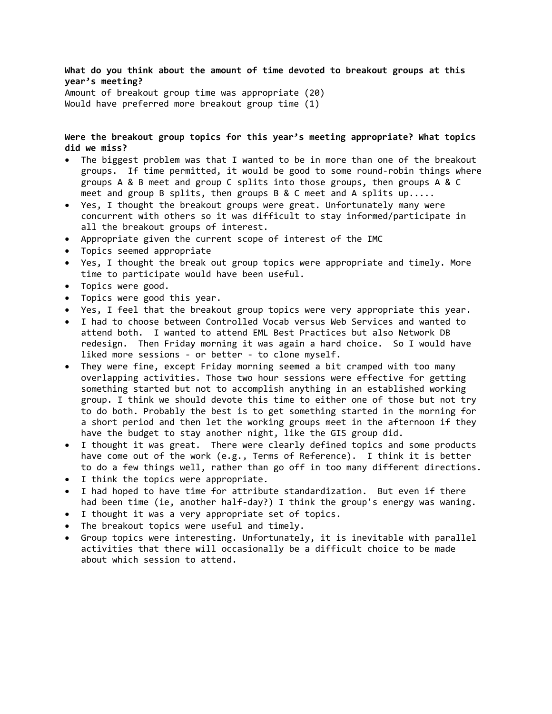**What do you think about the amount of time devoted to breakout groups at this year's meeting?** Amount of breakout group time was appropriate (20) Would have preferred more breakout group time (1)

**Were the breakout group topics for this year's meeting appropriate? What topics did we miss?**

- The biggest problem was that I wanted to be in more than one of the breakout groups. If time permitted, it would be good to some round‐robin things where groups A & B meet and group C splits into those groups, then groups A & C meet and group B splits, then groups B & C meet and A splits up.....
- Yes, I thought the breakout groups were great. Unfortunately many were concurrent with others so it was difficult to stay informed/participate in all the breakout groups of interest.
- Appropriate given the current scope of interest of the IMC
- Topics seemed appropriate
- Yes, I thought the break out group topics were appropriate and timely. More time to participate would have been useful.
- Topics were good.
- Topics were good this year.
- Yes, I feel that the breakout group topics were very appropriate this year.
- I had to choose between Controlled Vocab versus Web Services and wanted to attend both. I wanted to attend EML Best Practices but also Network DB redesign. Then Friday morning it was again a hard choice. So I would have liked more sessions ‐ or better ‐ to clone myself.
- They were fine, except Friday morning seemed a bit cramped with too many overlapping activities. Those two hour sessions were effective for getting something started but not to accomplish anything in an established working group. I think we should devote this time to either one of those but not try to do both. Probably the best is to get something started in the morning for a short period and then let the working groups meet in the afternoon if they have the budget to stay another night, like the GIS group did.
- I thought it was great. There were clearly defined topics and some products have come out of the work (e.g., Terms of Reference). I think it is better to do a few things well, rather than go off in too many different directions.
- I think the topics were appropriate.
- I had hoped to have time for attribute standardization. But even if there had been time (ie, another half-day?) I think the group's energy was waning.
- I thought it was a very appropriate set of topics.
- The breakout topics were useful and timely.
- Group topics were interesting. Unfortunately, it is inevitable with parallel activities that there will occasionally be a difficult choice to be made about which session to attend.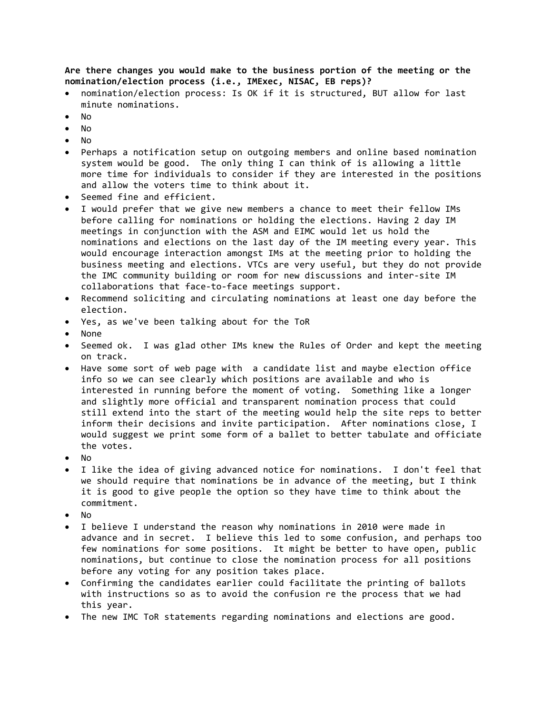**Are there changes you would make to the business portion of the meeting or the nomination/election process (i.e., IMExec, NISAC, EB reps)?**

- nomination/election process: Is OK if it is structured, BUT allow for last minute nominations.
- No
- No
- No
- Perhaps a notification setup on outgoing members and online based nomination system would be good. The only thing I can think of is allowing a little more time for individuals to consider if they are interested in the positions and allow the voters time to think about it.
- Seemed fine and efficient.
- I would prefer that we give new members a chance to meet their fellow IMs before calling for nominations or holding the elections. Having 2 day IM meetings in conjunction with the ASM and EIMC would let us hold the nominations and elections on the last day of the IM meeting every year. This would encourage interaction amongst IMs at the meeting prior to holding the business meeting and elections. VTCs are very useful, but they do not provide the IMC community building or room for new discussions and inter‐site IM collaborations that face‐to‐face meetings support.
- Recommend soliciting and circulating nominations at least one day before the election.
- Yes, as we've been talking about for the ToR
- None
- Seemed ok. I was glad other IMs knew the Rules of Order and kept the meeting on track.
- Have some sort of web page with a candidate list and maybe election office info so we can see clearly which positions are available and who is interested in running before the moment of voting. Something like a longer and slightly more official and transparent nomination process that could still extend into the start of the meeting would help the site reps to better inform their decisions and invite participation. After nominations close, I would suggest we print some form of a ballet to better tabulate and officiate the votes.
- No
- I like the idea of giving advanced notice for nominations. I don't feel that we should require that nominations be in advance of the meeting, but I think it is good to give people the option so they have time to think about the commitment.
- No
- I believe I understand the reason why nominations in 2010 were made in advance and in secret. I believe this led to some confusion, and perhaps too few nominations for some positions. It might be better to have open, public nominations, but continue to close the nomination process for all positions before any voting for any position takes place.
- Confirming the candidates earlier could facilitate the printing of ballots with instructions so as to avoid the confusion re the process that we had this year.
- The new IMC ToR statements regarding nominations and elections are good.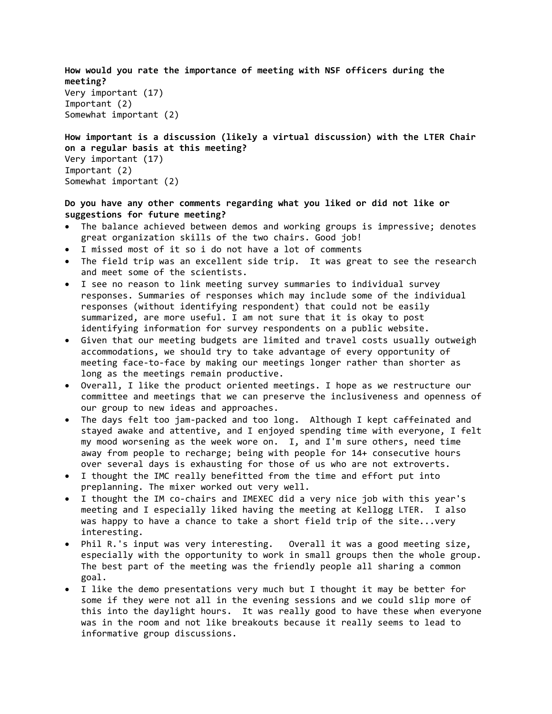```
How would you rate the importance of meeting with NSF officers during the
meeting?
Very important (17)
Important (2)
Somewhat important (2)
How important is a discussion (likely a virtual discussion) with the LTER Chair
```

```
on a regular basis at this meeting?
Very important (17)
Important (2)
Somewhat important (2)
```
#### **Do you have any other comments regarding what you liked or did not like or suggestions for future meeting?**

- The balance achieved between demos and working groups is impressive; denotes great organization skills of the two chairs. Good job!
- I missed most of it so i do not have a lot of comments
- The field trip was an excellent side trip. It was great to see the research and meet some of the scientists.
- I see no reason to link meeting survey summaries to individual survey responses. Summaries of responses which may include some of the individual responses (without identifying respondent) that could not be easily summarized, are more useful. I am not sure that it is okay to post identifying information for survey respondents on a public website.
- Given that our meeting budgets are limited and travel costs usually outweigh accommodations, we should try to take advantage of every opportunity of meeting face-to-face by making our meetings longer rather than shorter as long as the meetings remain productive.
- Overall, I like the product oriented meetings. I hope as we restructure our committee and meetings that we can preserve the inclusiveness and openness of our group to new ideas and approaches.
- The days felt too jam‐packed and too long. Although I kept caffeinated and stayed awake and attentive, and I enjoyed spending time with everyone, I felt my mood worsening as the week wore on. I, and I'm sure others, need time away from people to recharge; being with people for 14+ consecutive hours over several days is exhausting for those of us who are not extroverts.
- I thought the IMC really benefitted from the time and effort put into preplanning. The mixer worked out very well.
- I thought the IM co‐chairs and IMEXEC did a very nice job with this year's meeting and I especially liked having the meeting at Kellogg LTER. I also was happy to have a chance to take a short field trip of the site...very interesting.
- Phil R.'s input was very interesting. Overall it was a good meeting size, especially with the opportunity to work in small groups then the whole group. The best part of the meeting was the friendly people all sharing a common goal.
- I like the demo presentations very much but I thought it may be better for some if they were not all in the evening sessions and we could slip more of this into the daylight hours. It was really good to have these when everyone was in the room and not like breakouts because it really seems to lead to informative group discussions.